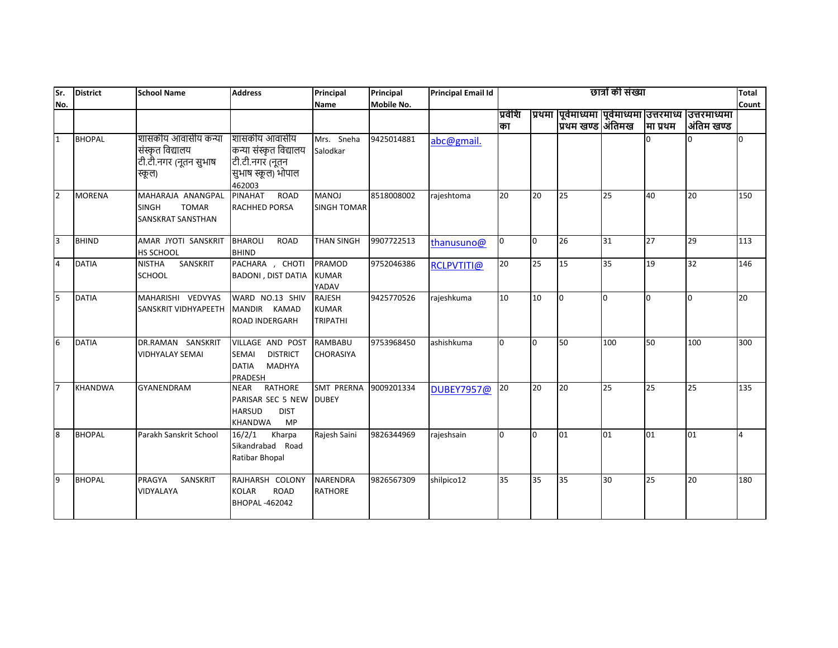| lsr.             | <b>District</b> | <b>School Name</b>                                                         | <b>Address</b>                                                                               | Principal                                        | Principal         | <b>Principal Email Id</b> |               |    |                   | छात्रों की संख्या |              |                                                                        | <b>Total</b>   |
|------------------|-----------------|----------------------------------------------------------------------------|----------------------------------------------------------------------------------------------|--------------------------------------------------|-------------------|---------------------------|---------------|----|-------------------|-------------------|--------------|------------------------------------------------------------------------|----------------|
| No.              |                 |                                                                            |                                                                                              | Name                                             | <b>Mobile No.</b> |                           |               |    |                   |                   |              |                                                                        | Count          |
|                  |                 |                                                                            |                                                                                              |                                                  |                   |                           | प्रवेशि<br>का |    | प्रिथम खण्ड औितमख |                   | मा प्रथम     | प्रथमा पूर्वमाध्यमा पूर्वमाध्यमा उत्तरमाध्य उत्तरमाध्यमा<br>अंतिम खण्ड |                |
| 1                | <b>BHOPAL</b>   | शासकीय आवासीय कन्या<br>संस्कृत विद्यालय<br>टी.टी.नगर (नूतन सुभाष<br>स्कूल) | शासकीय आवासीय<br>कन्या संस्कृत विद्यालय<br>टी.टी.नगर (नूतन<br>सुभाष स्कूल) भोपाल<br>462003   | Mrs. Sneha<br>Salodkar                           | 9425014881        | abc@gmail.                |               |    |                   |                   | $\Omega$     |                                                                        | $\overline{0}$ |
| $\overline{2}$   | <b>MORENA</b>   | MAHARAJA ANANGPAL<br><b>SINGH</b><br><b>TOMAR</b><br>SANSKRAT SANSTHAN     | <b>ROAD</b><br><b>PINAHAT</b><br>RACHHED PORSA                                               | <b>MANOJ</b><br><b>SINGH TOMAR</b>               | 8518008002        | rajeshtoma                | 20            | 20 | 25                | 25                | 40           | 20                                                                     | 150            |
| 3                | <b>BHIND</b>    | AMAR JYOTI SANSKRIT<br>HS SCHOOL                                           | <b>BHAROLI</b><br><b>ROAD</b><br><b>BHIND</b>                                                | <b>THAN SINGH</b>                                | 9907722513        | thanusuno@                | l0            | l0 | 26                | 31                | 27           | 29                                                                     | 113            |
| $\overline{4}$   | <b>DATIA</b>    | SANSKRIT<br><b>NISTHA</b><br><b>SCHOOL</b>                                 | PACHARA, CHOTI<br><b>BADONI, DIST DATIA</b>                                                  | PRAMOD<br><b>KUMAR</b><br>YADAV                  | 9752046386        | RCLPVTITI@                | 20            | 25 | 15                | 35                | 19           | 32                                                                     | 146            |
| $\overline{5}$   | <b>DATIA</b>    | MAHARISHI VEDVYAS<br><b>SANSKRIT VIDHYAPEETH</b>                           | WARD NO.13 SHIV<br>MANDIR KAMAD<br>ROAD INDERGARH                                            | <b>RAJESH</b><br><b>KUMAR</b><br><b>TRIPATHI</b> | 9425770526        | rajeshkuma                | 10            | 10 | I٥                | <sup>0</sup>      | <sup>0</sup> | <sup>0</sup>                                                           | 20             |
| 6                | <b>DATIA</b>    | DR.RAMAN SANSKRIT<br><b>VIDHYALAY SEMAI</b>                                | VILLAGE AND POST<br>SEMAI<br><b>DISTRICT</b><br><b>DATIA</b><br><b>MADHYA</b><br>PRADESH     | <b>RAMBABU</b><br><b>CHORASIYA</b>               | 9753968450        | ashishkuma                | l0            | 0  | 50                | 100               | 50           | 100                                                                    | 300            |
| $\overline{7}$   | <b>KHANDWA</b>  | <b>GYANENDRAM</b>                                                          | <b>RATHORE</b><br>NEAR<br>PARISAR SEC 5 NEW<br><b>HARSUD</b><br><b>DIST</b><br>KHANDWA<br>MP | SMT PRERNA<br><b>DUBEY</b>                       | 9009201334        | DUBEY7957@                | 20            | 20 | 20                | 25                | 25           | 25                                                                     | 135            |
| $\boldsymbol{8}$ | <b>BHOPAL</b>   | Parakh Sanskrit School                                                     | 16/2/1<br>Kharpa<br>Sikandrabad Road<br>Ratibar Bhopal                                       | Rajesh Saini                                     | 9826344969        | rajeshsain                | l0            | l0 | 01                | 01                | 01           | 01                                                                     | 4              |
| 9                | <b>BHOPAL</b>   | <b>PRAGYA</b><br>SANSKRIT<br>VIDYALAYA                                     | RAJHARSH COLONY<br><b>KOLAR</b><br><b>ROAD</b><br>BHOPAL-462042                              | <b>NARENDRA</b><br><b>RATHORE</b>                | 9826567309        | shilpico12                | 35            | 35 | 35                | 30                | 25           | 20                                                                     | 180            |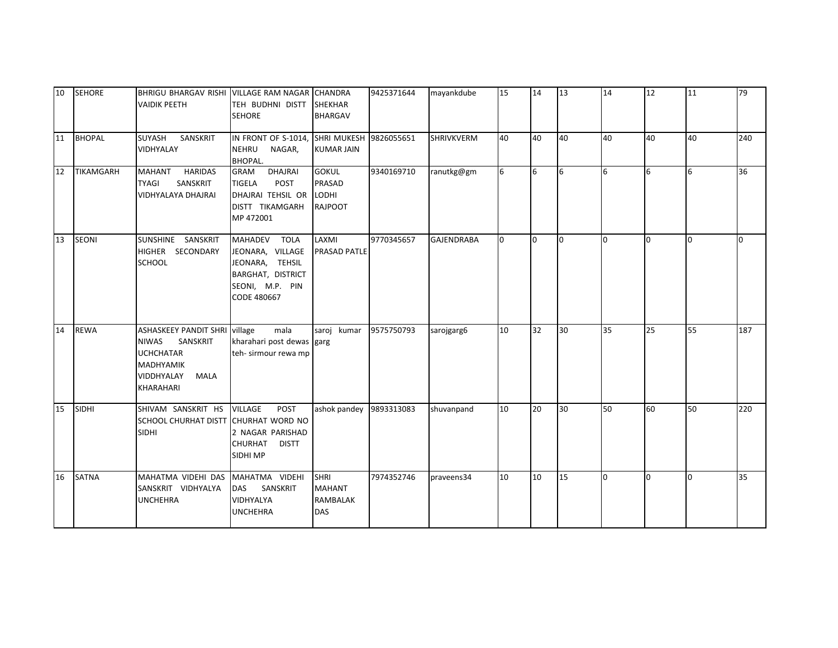| 10 | <b>SEHORE</b>    | BHRIGU BHARGAV RISHI VILLAGE RAM NAGAR CHANDRA<br><b>VAIDIK PEETH</b>                                                                              | TEH BUDHNI DISTT SHEKHAR<br><b>SEHORE</b>                                                                  | <b>BHARGAV</b>                                                | 9425371644 | mayankdube        | 15 | 14  | 13 | 14             | 12             | 11  | 79  |
|----|------------------|----------------------------------------------------------------------------------------------------------------------------------------------------|------------------------------------------------------------------------------------------------------------|---------------------------------------------------------------|------------|-------------------|----|-----|----|----------------|----------------|-----|-----|
| 11 | <b>BHOPAL</b>    | SANSKRIT<br>SUYASH<br>VIDHYALAY                                                                                                                    | IN FRONT OF S-1014, SHRI MUKESH 9826055651<br><b>NEHRU</b><br>NAGAR,<br><b>BHOPAL.</b>                     | <b>KUMAR JAIN</b>                                             |            | SHRIVKVERM        | 40 | 40  | 40 | 40             | 40             | 40  | 240 |
| 12 | <b>TIKAMGARH</b> | <b>HARIDAS</b><br><b>MAHANT</b><br><b>TYAGI</b><br>SANSKRIT<br><b>VIDHYALAYA DHAJRAI</b>                                                           | DHAJRAI<br><b>GRAM</b><br><b>TIGELA</b><br>POST<br>DHAJRAI TEHSIL OR<br>DISTT TIKAMGARH<br>MP 472001       | <b>GOKUL</b><br><b>PRASAD</b><br>LODHI<br><b>RAJPOOT</b>      | 9340169710 | ranutkg@gm        | 6  | I6  | 6  | 6              | 6              | 6   | 36  |
| 13 | <b>SEONI</b>     | SUNSHINE SANSKRIT<br>HIGHER SECONDARY<br><b>SCHOOL</b>                                                                                             | MAHADEV TOLA<br>JEONARA, VILLAGE<br>JEONARA, TEHSIL<br>BARGHAT, DISTRICT<br>SEONI, M.P. PIN<br>CODE 480667 | LAXMI<br><b>PRASAD PATLE</b>                                  | 9770345657 | <b>GAJENDRABA</b> | n. | lo. | l0 | $\overline{0}$ | $\overline{0}$ | l0  | l n |
| 14 | <b>REWA</b>      | <b>ASHASKEEY PANDIT SHRI village</b><br><b>NIWAS</b><br>SANSKRIT<br><b>UCHCHATAR</b><br><b>MADHYAMIK</b><br>VIDDHYALAY<br>MALA<br><b>KHARAHARI</b> | mala<br>kharahari post dewas garg<br>teh- sirmour rewa mp                                                  | saroj kumar                                                   | 9575750793 | sarojgarg6        | 10 | 32  | 30 | 35             | 25             | 55  | 187 |
| 15 | <b>SIDHI</b>     | SHIVAM SANSKRIT HS<br>SCHOOL CHURHAT DISTT CHURHAT WORD NO<br><b>SIDHI</b>                                                                         | <b>VILLAGE</b><br><b>POST</b><br>2 NAGAR PARISHAD<br>CHURHAT<br><b>DISTT</b><br>SIDHI MP                   | ashok pandey                                                  | 9893313083 | shuvanpand        | 10 | 20  | 30 | 50             | 60             | 50  | 220 |
| 16 | <b>SATNA</b>     | MAHATMA VIDEHI DAS<br>SANSKRIT VIDHYALYA<br><b>UNCHEHRA</b>                                                                                        | MAHATMA VIDEHI<br>DAS<br>SANSKRIT<br>VIDHYALYA<br><b>UNCHEHRA</b>                                          | <b>SHRI</b><br><b>MAHANT</b><br><b>RAMBALAK</b><br><b>DAS</b> | 7974352746 | praveens34        | 10 | 10  | 15 | l0             | l0             | l0. | 35  |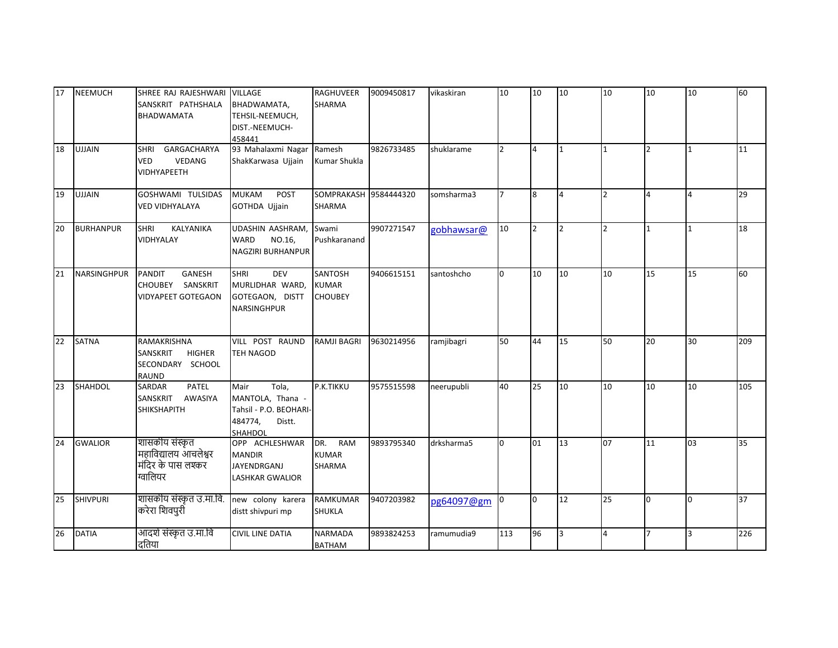| 17 | <b>NEEMUCH</b>     | SHREE RAJ RAJESHWARI<br>SANSKRIT PATHSHALA<br><b>BHADWAMATA</b>              | <b>VILLAGE</b><br>BHADWAMATA,<br>TEHSIL-NEEMUCH,<br>DIST.-NEEMUCH-<br>458441                | <b>RAGHUVEER</b><br><b>SHARMA</b>                | 9009450817 | vikaskiran | 10             | 10             | 10             | 10             | 10             | 10             | 60  |
|----|--------------------|------------------------------------------------------------------------------|---------------------------------------------------------------------------------------------|--------------------------------------------------|------------|------------|----------------|----------------|----------------|----------------|----------------|----------------|-----|
| 18 | <b>UJJAIN</b>      | GARGACHARYA<br><b>SHRI</b><br><b>VED</b><br>VEDANG<br><b>VIDHYAPEETH</b>     | 93 Mahalaxmi Nagar<br>ShakKarwasa Ujjain                                                    | Ramesh<br>Kumar Shukla                           | 9826733485 | shuklarame | $\overline{2}$ | $\overline{4}$ | 1              | $\mathbf{1}$   | $\overline{2}$ | 1              | 11  |
| 19 | <b>UJJAIN</b>      | GOSHWAMI TULSIDAS<br><b>VED VIDHYALAYA</b>                                   | <b>MUKAM</b><br>POST<br>GOTHDA Ujjain                                                       | SOMPRAKASH 9584444320<br><b>SHARMA</b>           |            | somsharma3 |                | 8              | $\overline{4}$ | $\overline{2}$ | 4              | $\overline{4}$ | 29  |
| 20 | <b>BURHANPUR</b>   | <b>SHRI</b><br>KALYANIKA<br>VIDHYALAY                                        | UDASHIN AASHRAM,<br>WARD<br>NO.16,<br>NAGZIRI BURHANPUR                                     | Swami<br>Pushkaranand                            | 9907271547 | gobhawsar@ | 10             | $\overline{2}$ | $\overline{2}$ | <u> 2</u>      | $\mathbf{1}$   |                | 18  |
| 21 | <b>NARSINGHPUR</b> | GANESH<br><b>PANDIT</b><br>SANSKRIT<br>CHOUBEY<br><b>VIDYAPEET GOTEGAON</b>  | <b>DEV</b><br><b>SHRI</b><br>MURLIDHAR WARD,<br>GOTEGAON, DISTT<br><b>NARSINGHPUR</b>       | <b>SANTOSH</b><br><b>KUMAR</b><br><b>CHOUBEY</b> | 9406615151 | santoshcho | <sup>o</sup>   | 10             | 10             | 10             | 15             | 15             | 60  |
| 22 | <b>SATNA</b>       | RAMAKRISHNA<br>SANSKRIT<br><b>HIGHER</b><br>SECONDARY SCHOOL<br><b>RAUND</b> | VILL POST RAUND<br><b>TEH NAGOD</b>                                                         | <b>RAMJI BAGRI</b>                               | 9630214956 | ramjibagri | 50             | 44             | 15             | 50             | 20             | 30             | 209 |
| 23 | <b>SHAHDOL</b>     | <b>PATEL</b><br><b>SARDAR</b><br>SANSKRIT<br>AWASIYA<br><b>SHIKSHAPITH</b>   | Tola,<br>Mair<br>MANTOLA, Thana -<br>Tahsil - P.O. BEOHARI-<br>484774,<br>Distt.<br>SHAHDOL | P.K.TIKKU                                        | 9575515598 | neerupubli | 40             | 25             | 10             | 10             | 10             | 10             | 105 |
| 24 | <b>GWALIOR</b>     | शासकीय संस्कृत<br>महाविद्यालय आचलेश्वर<br>मंदिर के पास लश्कर<br>ग्वालियर     | OPP ACHLESHWAR<br><b>MANDIR</b><br>JAYENDRGANJ<br><b>LASHKAR GWALIOR</b>                    | RAM<br>DR.<br><b>KUMAR</b><br><b>SHARMA</b>      | 9893795340 | drksharma5 | n.             | 01             | 13             | 07             | 11             | 03             | 35  |
| 25 | <b>SHIVPURI</b>    | शासकीय संस्कृत उ.मा.वि.<br>करेरा शिवपुरी                                     | new colony karera<br>distt shivpuri mp                                                      | <b>RAMKUMAR</b><br><b>SHUKLA</b>                 | 9407203982 | pg64097@gm |                | l0             | 12             | 25             | l0             | l0.            | 37  |
| 26 | <b>DATIA</b>       | आदर्श संस्कृत उ.मा.वि<br>दतिया                                               | <b>CIVIL LINE DATIA</b>                                                                     | <b>NARMADA</b><br><b>BATHAM</b>                  | 9893824253 | ramumudia9 | 113            | 96             | 3              | $\overline{4}$ | $\overline{7}$ | R.             | 226 |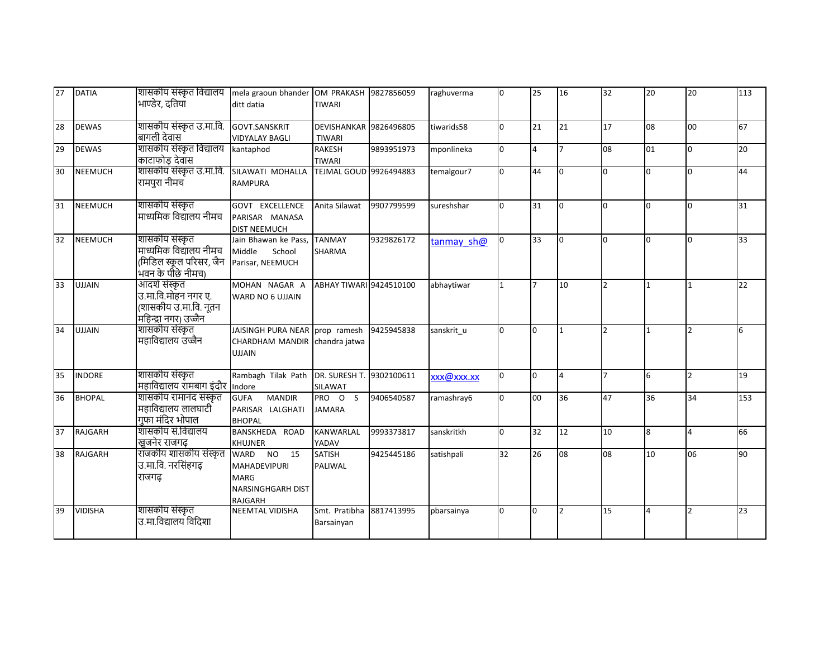| 27 | <b>DATIA</b>   | शासकीय संस्कृत विद्यालय<br>भाण्डेर, दतिया                                                | mela graoun bhander OM PRAKASH 9827856059<br>ditt datia                                 | <b>TIWARI</b>                                  |            | raghuverma | <sup>0</sup> | 25             | 16                       | 32             | 20           | 20             | 113 |
|----|----------------|------------------------------------------------------------------------------------------|-----------------------------------------------------------------------------------------|------------------------------------------------|------------|------------|--------------|----------------|--------------------------|----------------|--------------|----------------|-----|
| 28 | <b>DEWAS</b>   | शासकीय संस्कृत उ.मा.वि.<br>बागली देवास                                                   | <b>GOVT.SANSKRIT</b><br><b>VIDYALAY BAGLI</b>                                           | <b>DEVISHANKAR 9826496805</b><br><b>TIWARI</b> |            | tiwarids58 | n.           | 21             | 21                       | 17             | 08           | 00             | 67  |
| 29 | <b>DEWAS</b>   | शासकीय संस्कृत विद्यालय<br>काटाफोड़ देवास                                                | kantaphod                                                                               | <b>RAKESH</b><br><b>TIWARI</b>                 | 9893951973 | mponlineka | <sup>0</sup> | $\overline{4}$ | $\overline{7}$           | 08             | 01           | $\overline{0}$ | 20  |
| 30 | <b>NEEMUCH</b> | शासकीय संस्कृत उ.मा.वि.<br>रामपुरा नीमच                                                  | SILAWATI MOHALLA<br><b>RAMPURA</b>                                                      | <b>TEJMAL GOUD 9926494883</b>                  |            | temalgour7 | n.           | 44             | <sup>o</sup>             | l0             | $\Omega$     | l0             | 44  |
| 31 | <b>NEEMUCH</b> | शासकीय संस्कृत<br>माध्यमिक विद्यालय नीमच                                                 | <b>GOVT EXCELLENCE</b><br>PARISAR MANASA<br><b>DIST NEEMUCH</b>                         | Anita Silawat                                  | 9907799599 | sureshshar | n.           | 31             | I٥                       | $\Omega$       | <sup>0</sup> | n.             | 31  |
| 32 | <b>NEEMUCH</b> | शासकीय संस्कृत<br>माध्यमिक विद्यालय नीमच<br>(मिडिल स्कूल परिसर, जैन<br>भवन के पीछे नीमच) | Jain Bhawan ke Pass,<br>Middle<br>School<br>Parisar, NEEMUCH                            | <b>TANMAY</b><br><b>SHARMA</b>                 | 9329826172 | tanmay sh@ |              | 33             | <sup>o</sup>             | 0              | <sup>0</sup> | n.             | 33  |
| 33 | <b>UJJAIN</b>  | आदर्श संस्कृत<br>उ.मा.वि.मोहन नगर ए.<br>(शासकीय उ.मा.वि. नूतन<br>महिन्द्रा नगर) उज्जैन   | MOHAN NAGAR A<br>WARD NO 6 UJJAIN                                                       | ABHAY TIWARI 9424510100                        |            | abhaytiwar |              | $\overline{7}$ | 10                       | $\overline{2}$ |              |                | 22  |
| 34 | <b>UJJAIN</b>  | शासकीय संस्कृत<br>महाविद्यालय उज्जैन                                                     | JAISINGH PURA NEAR prop ramesh<br>CHARDHAM MANDIR chandra jatwa<br><b>UJJAIN</b>        |                                                | 9425945838 | sanskrit u | n.           | l0             | 1                        | $\overline{2}$ |              | $\overline{2}$ | 6   |
| 35 | <b>INDORE</b>  | शासकीय संस्कृत<br>महाविद्यालय रामबाग इंदौर                                               | Rambagh Tilak Path DR. SURESH T.<br>Indore                                              | SILAWAT                                        | 9302100611 | xxx@xxx.xx | <sup>0</sup> | lo.            | $\overline{4}$           | $\overline{7}$ | 6            | $\overline{2}$ | 19  |
| 36 | <b>BHOPAL</b>  | शासकीय रामानंद संस्कृत<br>महाविद्यालय लालघाटी<br>गुफा मंदिर भोपाल                        | <b>MANDIR</b><br><b>GUFA</b><br>PARISAR LALGHATI<br><b>BHOPAL</b>                       | PRO O S<br><b>JAMARA</b>                       | 9406540587 | ramashray6 | n.           | 00             | 36                       | 47             | 36           | 34             | 153 |
| 37 | RAJGARH        | शासकीय सं.विद्यालय<br>खुजनेर राजगढ़                                                      | BANSKHEDA ROAD<br>KHUJNER                                                               | <b>KANWARLAL</b><br>YADAV                      | 9993373817 | sanskritkh | <sup>0</sup> | 32             | 12                       | 10             | 8            | 4              | 66  |
| 38 | RAJGARH        | राजकीय शासकीय संस्कृत<br>उ.मा.वि. नरसिंहगढ़<br>राजगढ                                     | WARD NO 15<br><b>MAHADEVIPURI</b><br><b>MARG</b><br>NARSINGHGARH DIST<br><b>RAJGARH</b> | <b>SATISH</b><br>PALIWAL                       | 9425445186 | satishpali | 32           | 26             | 08                       | 08             | 10           | 06             | 90  |
| 39 | <b>VIDISHA</b> | शासकीय संस्कृत<br>उ.मा.विद्यालय विदिशा                                                   | <b>NEEMTAL VIDISHA</b>                                                                  | Smt. Pratibha<br>Barsainyan                    | 8817413995 | pbarsainya | n.           | $\overline{0}$ | $\overline{\phantom{a}}$ | 15             | 4            | $\overline{2}$ | 23  |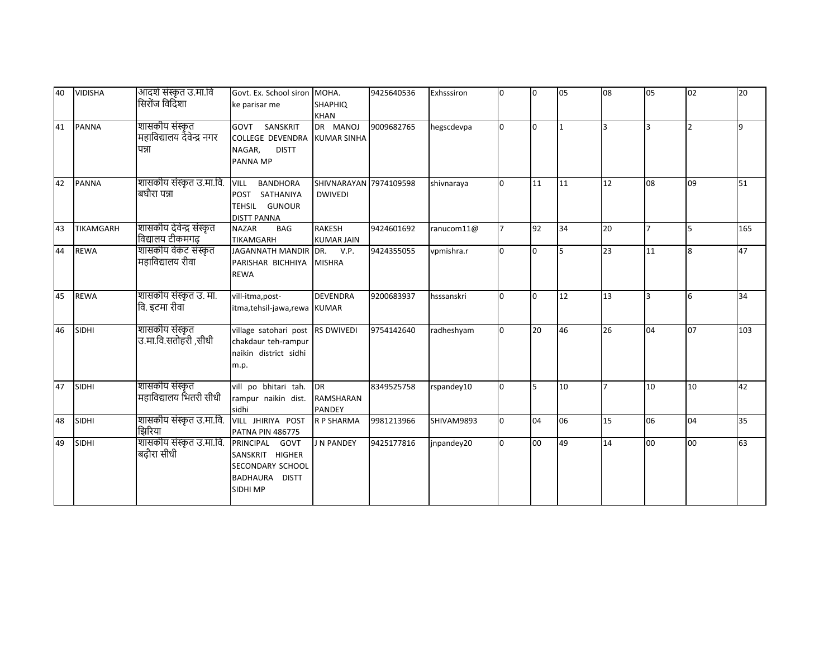| 40 | <b>VIDISHA</b>   | आदर्श संस्कृत उ.मा.वि<br>सिरोंज विदिशा               | Govt. Ex. School siron MOHA.<br>ke parisar me                                            | <b>SHAPHIQ</b><br><b>KHAN</b>            | 9425640536 | Exhsssiron    | l0           | I0  | 05 | 08             | 05             | 02             | 20       |
|----|------------------|------------------------------------------------------|------------------------------------------------------------------------------------------|------------------------------------------|------------|---------------|--------------|-----|----|----------------|----------------|----------------|----------|
| 41 | <b>PANNA</b>     | शासकीय संस्कृत<br>महाविद्यालय देवेन्द्र नगर<br>पन्ना | SANSKRIT<br>GOVT<br><b>COLLEGE DEVENDRA</b><br>NAGAR,<br><b>DISTT</b><br>PANNA MP        | DR MANOJ<br><b>KUMAR SINHA</b>           | 9009682765 | hegscdevpa    |              | I٥  |    | l3             | l3             | $\overline{2}$ | <b>q</b> |
| 42 | <b>PANNA</b>     | शासकीय संस्कृत उ.मा.वि.<br>बघौरा पन्ना               | <b>BANDHORA</b><br><b>VILL</b><br>POST SATHANIYA<br>TEHSIL GUNOUR<br><b>DISTT PANNA</b>  | SHIVNARAYAN 7974109598<br><b>DWIVEDI</b> |            | shivnaraya    |              | 11  | 11 | 12             | 08             | 09             | 51       |
| 43 | <b>TIKAMGARH</b> | शासकीय देवेन्द्र संस्कृत<br>विद्यालय टीकमगढ़         | <b>NAZAR</b><br><b>BAG</b><br><b>TIKAMGARH</b>                                           | <b>RAKESH</b><br><b>KUMAR JAIN</b>       | 9424601692 | ranucom $11@$ |              | 92  | 34 | 20             | $\overline{7}$ | 5              | 165      |
| 44 | <b>REWA</b>      | शासकीय वेकंट संस्कृत<br>महाविद्यालय रीवा             | JAGANNATH MANDIR DR.<br>PARISHAR BICHHIYA MISHRA<br><b>REWA</b>                          | V.P.                                     | 9424355055 | vpmishra.r    |              | lo. | 5  | 23             | 11             | <b>R</b>       | 47       |
| 45 | <b>REWA</b>      | शासकीय संस्कृत उ. मा.<br>वि. इटमा रीवा               | vill-itma, post-<br>itma, tehsil-jawa, rewa KUMAR                                        | <b>DEVENDRA</b>                          | 9200683937 | hsssanskri    | n.           | l0  | 12 | 13             | 3              | 6              | 34       |
| 46 | <b>SIDHI</b>     | शासकीय संस्कृत<br>उ.मा.वि.सतोहरी,सीधी                | village satohari post RS DWIVEDI<br>chakdaur teh-rampur<br>naikin district sidhi<br>m.p. |                                          | 9754142640 | radheshyam    | <sup>n</sup> | 20  | 46 | 26             | 04             | 07             | 103      |
| 47 | <b>SIDHI</b>     | शासकीय संस्कृत<br>महाविद्यालय भितरी सीधी             | vill po bhitari tah.<br>rampur naikin dist.<br>sidhi                                     | <b>DR</b><br>RAMSHARAN<br><b>PANDEY</b>  | 8349525758 | rspandey10    | n.           | 5   | 10 | $\overline{7}$ | 10             | 10             | 42       |
| 48 | <b>SIDHI</b>     | शासकीय संस्कृत उ.मा.वि.<br>झिरिया                    | VILL JHIRIYA POST<br><b>PATNA PIN 486775</b>                                             | <b>R P SHARMA</b>                        | 9981213966 | SHIVAM9893    | n.           | 04  | 06 | 15             | 06             | 04             | 35       |
| 49 | <b>SIDHI</b>     | शासकीय संस्कृत उ.मा.वि.<br>बढ़ौरा सीधी               | PRINCIPAL<br>GOVT<br>SANSKRIT HIGHER<br>SECONDARY SCHOOL<br>BADHAURA DISTT<br>SIDHI MP   | J N PANDEY                               | 9425177816 | jnpandey20    |              | loo | 49 | 14             | 00             | 00             | 63       |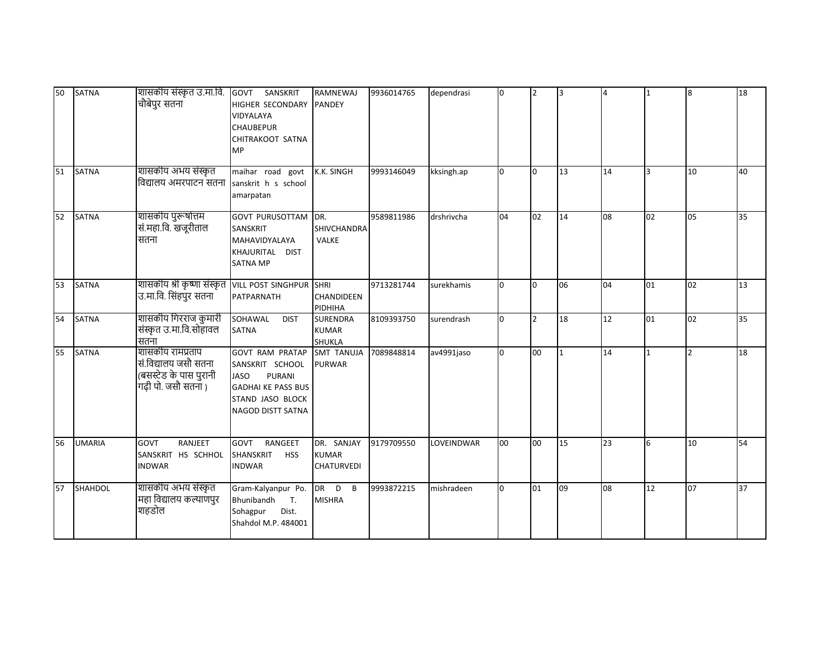| 50 | <b>SATNA</b>   | शासकीय संस्कृत उ.मा.वि. GOVT SANSKRIT<br>चौबेपुर सतना                                     | HIGHER SECONDARY<br>VIDYALAYA<br><b>CHAUBEPUR</b><br>CHITRAKOOT SATNA<br><b>MP</b>                                                              | <b>RAMNEWAJ</b><br>PANDEY                        | 9936014765 | dependrasi | Iо | $\mathsf{I}2$ | lз | 4  | $\mathbf{1}$   | 8             | 18 |
|----|----------------|-------------------------------------------------------------------------------------------|-------------------------------------------------------------------------------------------------------------------------------------------------|--------------------------------------------------|------------|------------|----|---------------|----|----|----------------|---------------|----|
| 51 | <b>SATNA</b>   | शासकीय अभय संस्कृत<br>विद्यालय अमरपाटन सतना                                               | maihar road govt<br>sanskrit h s school<br>amarpatan                                                                                            | K.K. SINGH                                       | 9993146049 | kksingh.ap | l0 | Io.           | 13 | 14 | $\overline{3}$ | 10            | 40 |
| 52 | <b>SATNA</b>   | शासकीय पुरूषोत्तम<br>सं.महा.वि. खजूरीताल<br>सतना                                          | <b>GOVT PURUSOTTAM</b><br>SANSKRIT<br>MAHAVIDYALAYA<br>KHAJURITAL DIST<br><b>SATNA MP</b>                                                       | DR.<br>SHIVCHANDRA<br><b>VALKE</b>               | 9589811986 | drshrivcha | 04 | 02            | 14 | 08 | 02             | 05            | 35 |
| 53 | <b>SATNA</b>   | शासकीय श्री कृष्णा संस्कृत   VILL POST SINGHPUR SHRI<br>उ.मा.वि. सिंहपुर सतना             | PATPARNATH                                                                                                                                      | CHANDIDEEN<br>PIDHIHA                            | 9713281744 | surekhamis | l0 | l0            | 06 | 04 | 01             | 02            | 13 |
| 54 | <b>SATNA</b>   | शासकीय गिरराज कुमारी<br>संस्कृत उ.मा.वि.सोहावल<br>सतना                                    | SOHAWAL<br><b>DIST</b><br><b>SATNA</b>                                                                                                          | <b>SURENDRA</b><br><b>KUMAR</b><br><b>SHUKLA</b> | 8109393750 | surendrash | l0 | I2            | 18 | 12 | 01             | 02            | 35 |
| 55 | <b>SATNA</b>   | शासकीय रामप्रताप<br>सं.विद्यालय जसौ सतना<br>(बसस्टेड के पास पुरानी<br>गढ़ी पो. जसौ सतना ) | <b>GOVT RAM PRATAP</b><br>SANSKRIT SCHOOL<br><b>JASO</b><br>PURANI<br><b>GADHAI KE PASS BUS</b><br>STAND JASO BLOCK<br><b>NAGOD DISTT SATNA</b> | SMT TANUJA<br><b>PURWAR</b>                      | 7089848814 | av4991jaso | l0 | 00            |    | 14 | $\mathbf{1}$   | $\mathcal{P}$ | 18 |
| 56 | <b>UMARIA</b>  | RANJEET<br><b>GOVT</b><br>SANSKRIT HS SCHHOL<br><b>INDWAR</b>                             | RANGEET<br><b>GOVT</b><br>SHANSKRIT<br><b>HSS</b><br><b>INDWAR</b>                                                                              | DR. SANJAY<br><b>KUMAR</b><br><b>CHATURVEDI</b>  | 9179709550 | LOVEINDWAR | 00 | 00            | 15 | 23 | 6              | 10            | 54 |
| 57 | <b>SHAHDOL</b> | शासकीय अभय संस्कृत<br>महा विद्यालय कल्याणपुर<br>शहडोल                                     | Gram-Kalyanpur Po.<br>Bhunibandh<br>$T_{\rm{L}}$<br>Sohagpur<br>Dist.<br>Shahdol M.P. 484001                                                    | DR D B<br><b>MISHRA</b>                          | 9993872215 | mishradeen | l0 | 01            | 09 | 08 | 12             | 07            | 37 |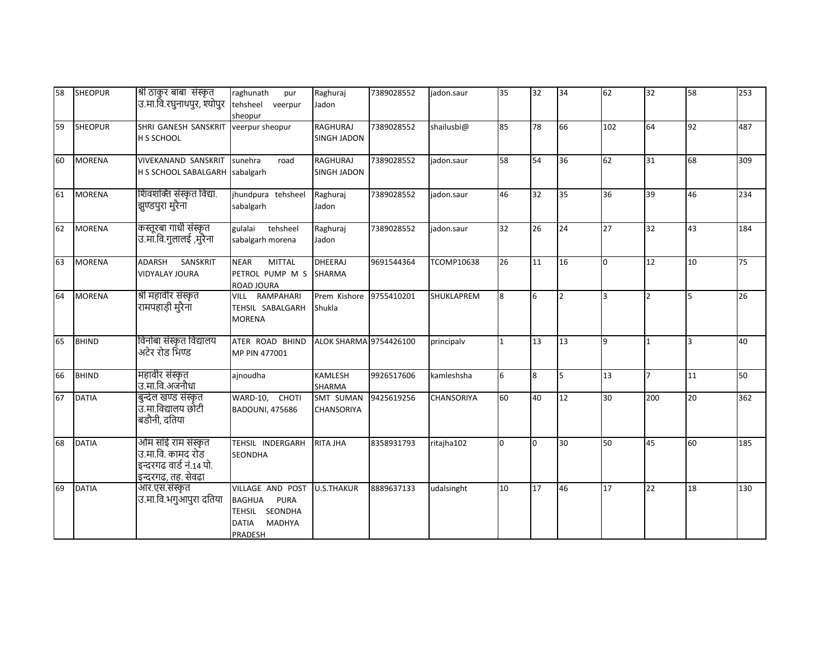| 58 | <b>SHEOPUR</b> | श्री ठाकुर बाबा  संस्कृत<br>उ.मा.वि.रघुनाथपुर, श्योपुर                                    | raghunath<br>pur<br>tehsheel veerpur<br>sheopur                                                         | Raghuraj<br>Jadon                     | 7389028552 | jadon.saur        | 35              | 32 | 34             | 62  | 32             | 58 | 253 |
|----|----------------|-------------------------------------------------------------------------------------------|---------------------------------------------------------------------------------------------------------|---------------------------------------|------------|-------------------|-----------------|----|----------------|-----|----------------|----|-----|
| 59 | <b>SHEOPUR</b> | SHRI GANESH SANSKRIT<br>H S SCHOOL                                                        | veerpur sheopur                                                                                         | <b>RAGHURAJ</b><br><b>SINGH JADON</b> | 7389028552 | shailusbi@        | 85              | 78 | 66             | 102 | 64             | 92 | 487 |
| 60 | <b>MORENA</b>  | <b>VIVEKANAND SANSKRIT</b><br>H S SCHOOL SABALGARH sabalgarh                              | sunehra<br>road                                                                                         | <b>RAGHURAJ</b><br>SINGH JADON        | 7389028552 | jadon.saur        | 58              | 54 | 36             | 62  | 31             | 68 | 309 |
| 61 | <b>MORENA</b>  | शिवशक्ति संस्कृत विद्या.<br>झुण्डपुरा मुरैना                                              | jhundpura tehsheel<br>sabalgarh                                                                         | Raghuraj<br>Jadon                     | 7389028552 | iadon.saur        | 46              | 32 | 35             | 36  | 39             | 46 | 234 |
| 62 | <b>MORENA</b>  | कस्तूरबा गाधी संस्कृत<br>उ.मा.वि.गुलालई ,मुरैना                                           | gulalai<br>tehsheel<br>sabalgarh morena                                                                 | Raghuraj<br>Jadon                     | 7389028552 | jadon.saur        | 32 <sup>2</sup> | 26 | 24             | 27  | 32             | 43 | 184 |
| 63 | <b>MORENA</b>  | <b>ADARSH</b><br>SANSKRIT<br><b>VIDYALAY JOURA</b>                                        | <b>MITTAL</b><br><b>NEAR</b><br>PETROL PUMP M S<br>ROAD JOURA                                           | <b>DHEERAJ</b><br><b>SHARMA</b>       | 9691544364 | <b>TCOMP10638</b> | 26              | 11 | 16             | l0  | 12             | 10 | 75  |
| 64 | <b>MORENA</b>  | श्री महावीर संस्कृत<br>रामपहाड़ी मुरैना                                                   | VILL RAMPAHARI<br>TEHSIL SABALGARH<br><b>MORENA</b>                                                     | Prem Kishore<br>Shukla                | 9755410201 | <b>SHUKLAPREM</b> | 8               | 6  | $\overline{2}$ | 3   | $\overline{2}$ | 5  | 26  |
| 65 | <b>BHIND</b>   | विनोबा संस्कृत विद्यालय<br>अटेर रोड भिण्ड                                                 | ATER ROAD BHIND<br>MP PIN 477001                                                                        | <b>ALOK SHARMA 9754426100</b>         |            | principalv        |                 | 13 | 13             | 9   | $\mathbf{1}$   | 3  | 40  |
| 66 | <b>BHIND</b>   | महावीर संस्कृत<br>उ.मा.वि.अजनौधा                                                          | ajnoudha                                                                                                | <b>KAMLESH</b><br>SHARMA              | 9926517606 | kamleshsha        | 6               | 8  | 5              | 13  | 7              | 11 | 50  |
| 67 | <b>DATIA</b>   | बुन्देल खण्ड संस्कृत<br>उ.मा.विद्यालय छोटी<br>बडौनी, दतिया                                | WARD-10, CHOTI<br><b>BADOUNI, 475686</b>                                                                | <b>SMT SUMAN</b><br><b>CHANSORIYA</b> | 9425619256 | <b>CHANSORIYA</b> | 60              | 40 | 12             | 30  | 200            | 20 | 362 |
| 68 | <b>DATIA</b>   | ओम साँई राम संस्कृत<br>उ.मा.वि. कामद रोड<br>इन्दरगढ वार्ड नं.14 पो.<br>इन्दरगढ, तह. सेवढा | TEHSIL INDERGARH<br><b>SEONDHA</b>                                                                      | <b>RITA JHA</b>                       | 8358931793 | ritajha102        | n.              | l0 | 30             | 50  | 45             | 60 | 185 |
| 69 | <b>DATIA</b>   | आर.एस.संस्कृत<br>उ.मा.वि.भगुआपुरा दतिया                                                   | VILLAGE AND POST<br><b>BAGHUA</b><br>PURA<br>TEHSIL SEONDHA<br><b>DATIA</b><br><b>MADHYA</b><br>PRADESH | <b>U.S.THAKUR</b>                     | 8889637133 | udalsinght        | 10              | 17 | 46             | 17  | 22             | 18 | 130 |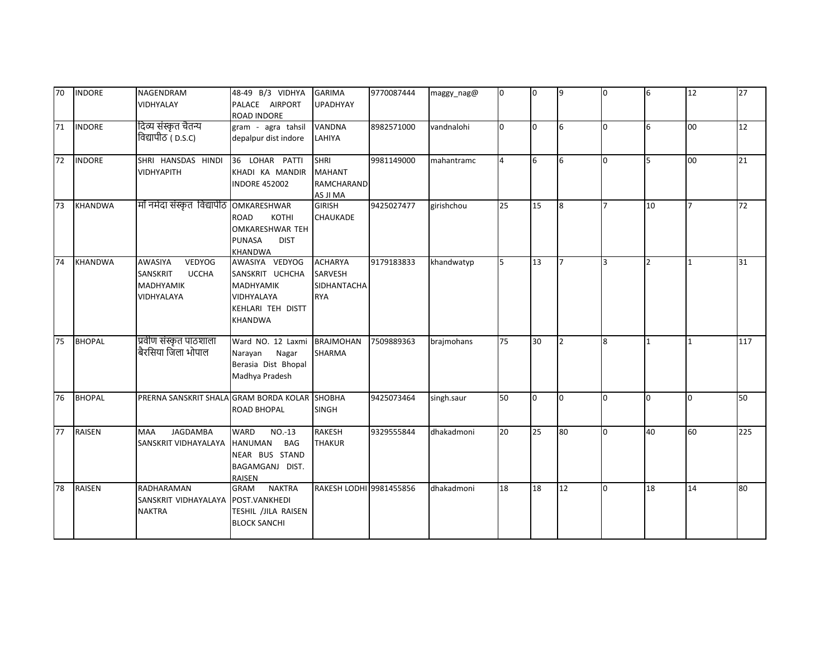| 70 | <b>INDORE</b>  | <b>NAGENDRAM</b><br>VIDHYALAY                                                   | 48-49 B/3 VIDHYA<br>PALACE AIRPORT<br>ROAD INDORE                                                          | <b>GARIMA</b><br><b>UPADHYAY</b>                              | 9770087444 | maggy_nag@ | Iо           | Iо  | 9              | lo.            | 6              | 12             | 27  |
|----|----------------|---------------------------------------------------------------------------------|------------------------------------------------------------------------------------------------------------|---------------------------------------------------------------|------------|------------|--------------|-----|----------------|----------------|----------------|----------------|-----|
| 71 | <b>INDORE</b>  | दिव्य संस्कृत चैतन्य<br>विद्यापीठ ( p.s.c)                                      | gram - agra tahsil<br>depalpur dist indore                                                                 | VANDNA<br>LAHIYA                                              | 8982571000 | vandnalohi | <sup>o</sup> | lo. | 6              | 0              | 6              | 00             | 12  |
| 72 | <b>INDORE</b>  | SHRI HANSDAS HINDI<br><b>VIDHYAPITH</b>                                         | 36 LOHAR PATTI<br>KHADI KA MANDIR<br><b>INDORE 452002</b>                                                  | <b>SHRI</b><br><b>MAHANT</b><br><b>RAMCHARAND</b><br>AS JI MA | 9981149000 | mahantramc |              | 6   | 6              | l0             | 5              | 00             | 21  |
| 73 | <b>KHANDWA</b> | माँ नर्मदा संस्कृत विद्यापीठ                                                    | OMKARESHWAR<br>ROAD<br>KOTHI<br>OMKARESHWAR TEH<br><b>PUNASA</b><br><b>DIST</b><br>KHANDWA                 | <b>GIRISH</b><br><b>CHAUKADE</b>                              | 9425027477 | girishchou | 25           | 15  | 8              | $\overline{7}$ | 10             |                | 72  |
| 74 | <b>KHANDWA</b> | AWASIYA<br>VEDYOG<br>SANSKRIT<br><b>UCCHA</b><br><b>MADHYAMIK</b><br>VIDHYALAYA | AWASIYA VEDYOG<br>SANSKRIT UCHCHA<br><b>MADHYAMIK</b><br>VIDHYALAYA<br>KEHLARI TEH DISTT<br><b>KHANDWA</b> | <b>ACHARYA</b><br>SARVESH<br><b>SIDHANTACHA</b><br><b>RYA</b> | 9179183833 | khandwatyp | 5            | 13  | $\overline{7}$ | 3              | $\overline{2}$ | $\overline{1}$ | 31  |
| 75 | <b>BHOPAL</b>  | प्रवीण संस्कृत पाठशाला<br>बैरसिया जिला भोपाल                                    | Ward NO. 12 Laxmi<br>Narayan<br>Nagar<br>Berasia Dist Bhopal<br>Madhya Pradesh                             | <b>BRAJMOHAN</b><br><b>SHARMA</b>                             | 7509889363 | brajmohans | 75           | 30  | $\overline{2}$ | 8              | $\mathbf{1}$   | $\mathbf{1}$   | 117 |
| 76 | <b>BHOPAL</b>  | PRERNA SANSKRIT SHALA GRAM BORDA KOLAR SHOBHA                                   | <b>ROAD BHOPAL</b>                                                                                         | <b>SINGH</b>                                                  | 9425073464 | singh.saur | 50           | I0  | l0.            | 0              | l0             | l0             | 50  |
| 77 | <b>RAISEN</b>  | JAGDAMBA<br><b>MAA</b><br>SANSKRIT VIDHAYALAYA                                  | <b>WARD</b><br>$NO.-13$<br><b>HANUMAN</b><br>BAG<br>NEAR BUS STAND<br>BAGAMGANJ DIST.<br>RAISEN            | <b>RAKESH</b><br><b>THAKUR</b>                                | 9329555844 | dhakadmoni | 20           | 25  | 80             | l0             | 40             | 60             | 225 |
| 78 | <b>RAISEN</b>  | RADHARAMAN<br>SANSKRIT VIDHAYALAYA<br><b>NAKTRA</b>                             | <b>NAKTRA</b><br>GRAM<br>POST.VANKHEDI<br>TESHIL /JILA RAISEN<br><b>BLOCK SANCHI</b>                       | RAKESH LODHI 9981455856                                       |            | dhakadmoni | 18           | 18  | 12             | 0              | 18             | 14             | 80  |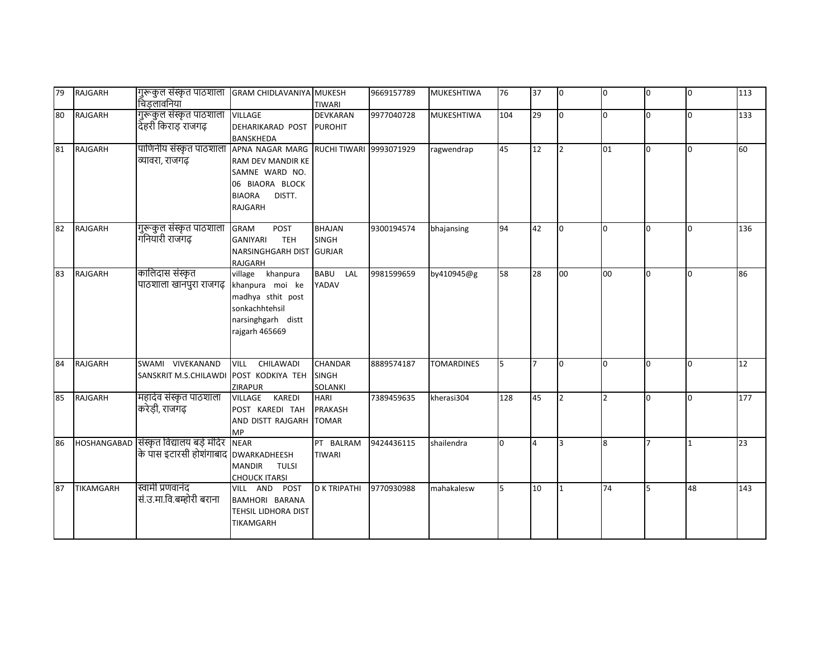| 79 | RAJGARH          | गुरूकुल संस्कृत पाठशाला<br>चिडलावनिया                                            | <b>GRAM CHIDLAVANIYA MUKESH</b>                                                                                                     | TIWARI                                        | 9669157789 | <b>MUKESHTIWA</b> | 76  | 37             | lo.            | 0              | l0           | 0   | 113 |
|----|------------------|----------------------------------------------------------------------------------|-------------------------------------------------------------------------------------------------------------------------------------|-----------------------------------------------|------------|-------------------|-----|----------------|----------------|----------------|--------------|-----|-----|
| 80 | <b>RAJGARH</b>   | गुरूकुल संस्कृत पाठशाला<br>देहरी किराड राजगढ़                                    | <b>VILLAGE</b><br>DEHARIKARAD POST<br>BANSKHEDA                                                                                     | <b>DEVKARAN</b><br><b>PUROHIT</b>             | 9977040728 | <b>MUKESHTIWA</b> | 104 | 29             | lo.            | $\Omega$       | $\Omega$     | l0. | 133 |
| 81 | <b>RAJGARH</b>   | पाणिनीय संस्कृत पाठशाला<br>व्यावरा, राजगढ़                                       | APNA NAGAR MARG RUCHI TIWARI<br>RAM DEV MANDIR KE<br>SAMNE WARD NO.<br>06 BIAORA BLOCK<br><b>BIAORA</b><br>DISTT.<br><b>RAJGARH</b> |                                               | 9993071929 | ragwendrap        | 45  | 12             | I <sub>2</sub> | 01             | $\Omega$     | n.  | 60  |
| 82 | RAJGARH          | गुरूकुल संस्कृत पाठशाला<br>गनियारी राजगढ़                                        | <b>GRAM</b><br>POST<br>GANIYARI<br><b>TEH</b><br>NARSINGHGARH DIST GURJAR<br>RAJGARH                                                | <b>BHAJAN</b><br><b>SINGH</b>                 | 9300194574 | bhajansing        | 94  | 42             | Iо             | $\Omega$       | $\Omega$     | n.  | 136 |
| 83 | RAJGARH          | कालिदास संस्कृत<br>पाठशाला खानपुरा राजगढ़                                        | village khanpura<br>khanpura moi ke<br>madhya sthit post<br>sonkachhtehsil<br>narsinghgarh distt<br>rajgarh 465669                  | <b>BABU</b><br>LAL<br>YADAV                   | 9981599659 | by410945@g        | 58  | 28             | 00             | 00             | $\Omega$     | n.  | 86  |
| 84 | RAJGARH          | SWAMI VIVEKANAND<br>SANSKRIT M.S.CHILAWDI                                        | VILL CHILAWADI<br>POST KODKIYA TEH<br>ZIRAPUR                                                                                       | <b>CHANDAR</b><br><b>SINGH</b><br>SOLANKI     | 8889574187 | <b>TOMARDINES</b> | 5   | $\overline{7}$ | l0             | $\Omega$       | <sup>0</sup> | l0. | 12  |
| 85 | <b>RAJGARH</b>   | महादेव संस्कृत पाठशाला<br>करेड़ी, राजगढ़                                         | VILLAGE KAREDI<br>POST KAREDI TAH<br>AND DISTT RAJGARH<br><b>MP</b>                                                                 | <b>HARI</b><br><b>PRAKASH</b><br><b>TOMAR</b> | 7389459635 | kherasi304        | 128 | 45             | $\overline{2}$ | $\overline{2}$ | $\Omega$     | n.  | 177 |
| 86 |                  | HOSHANGABAD सिंस्कृत विद्यालय बड़े मंदिर<br>के पास इटारसी होशंगाबाद DWARKADHEESH | <b>NEAR</b><br><b>MANDIR</b><br><b>TULSI</b><br><b>CHOUCK ITARSI</b>                                                                | PT BALRAM<br><b>TIWARI</b>                    | 9424436115 | shailendra        | n.  | 4              | Iз             | 8              |              |     | 23  |
| 87 | <b>TIKAMGARH</b> | स्वामी प्रणवानंद<br>सं.उ.मा.वि.बम्होरी बराना                                     | VILL AND POST<br>BAMHORI BARANA<br>TEHSIL LIDHORA DIST<br>TIKAMGARH                                                                 | <b>D K TRIPATHI</b>                           | 9770930988 | mahakalesw        | 5   | 10             | 1              | 74             | 5            | 48  | 143 |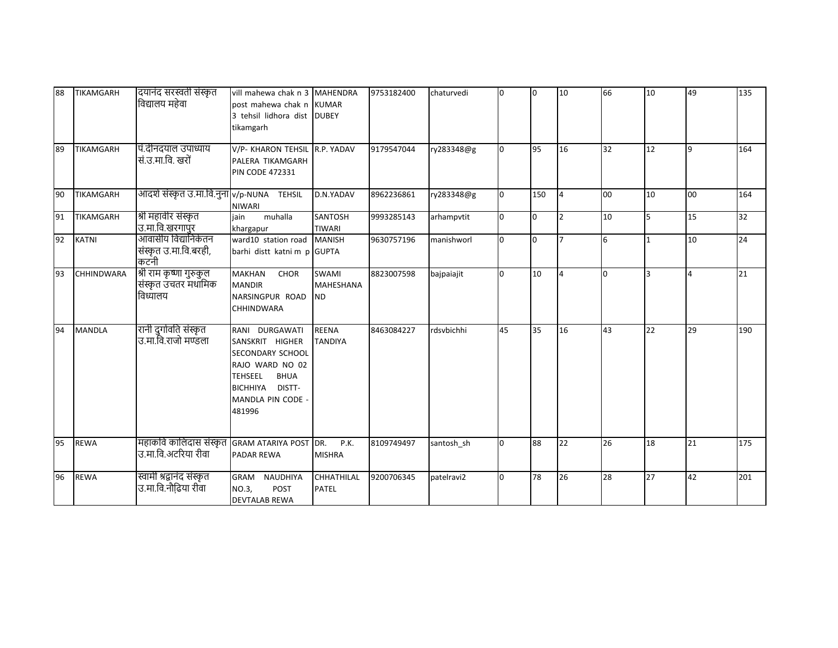| 88 | <b>TIKAMGARH</b>  | दयानंद सरस्वती संस्कृत<br>विद्यालय महेवा                   | vill mahewa chak n 3 MAHENDRA<br>post mahewa chak n KUMAR<br>3 tehsil lidhora dist DUBEY<br>tikamgarh                                                       |                                               | 9753182400 | chaturvedi | <sup>0</sup> | I0  | 10             | 66 | 10           | 49             | 135 |
|----|-------------------|------------------------------------------------------------|-------------------------------------------------------------------------------------------------------------------------------------------------------------|-----------------------------------------------|------------|------------|--------------|-----|----------------|----|--------------|----------------|-----|
| 89 | <b>TIKAMGARH</b>  | पि.दीनदयाल उपाध्याय<br>सं.उ.मा.वि. खरों                    | V/P- KHARON TEHSIL R.P. YADAV<br>PALERA TIKAMGARH<br><b>PIN CODE 472331</b>                                                                                 |                                               | 9179547044 | ry283348@g |              | 95  | 16             | 32 | 12           |                | 164 |
| 90 | TIKAMGARH         | आदर्श संस्कृत उ.मा.वि.नुना v/p-NUNA TEHSIL                 | <b>NIWARI</b>                                                                                                                                               | D.N.YADAV                                     | 8962236861 | ry283348@g |              | 150 | 4              | 00 | 10           | 00             | 164 |
| 91 | TIKAMGARH         | श्री महावीर संस्कृत<br>उ.मा.वि.खरगापुर                     | muhalla<br>iain<br>khargapur                                                                                                                                | <b>SANTOSH</b><br><b>TIWARI</b>               | 9993285143 | arhampvtit | n.           | l0  | $\mathcal{P}$  | 10 | 5            | 15             | 32  |
| 92 | <b>KATNI</b>      | आवासीय विद्यानिकेतन<br>संस्कृत उ.मा.वि.बरही,<br>कटनी       | ward10 station road<br>barhi distt katni m p GUPTA                                                                                                          | <b>MANISH</b>                                 | 9630757196 | manishworl | <sup>n</sup> | I٥  |                | 6  | $\mathbf{1}$ | 10             | 24  |
| 93 | <b>CHHINDWARA</b> | श्री राम कृष्णा गुरुकुल<br>संस्कृत उचतर मधामिक<br>विध्यालय | <b>MAKHAN</b><br>CHOR<br><b>MANDIR</b><br>NARSINGPUR ROAD<br><b>CHHINDWARA</b>                                                                              | <b>SWAMI</b><br><b>MAHESHANA</b><br><b>ND</b> | 8823007598 | bajpaiajit |              | 10  | $\overline{a}$ | l0 | 3            | $\overline{a}$ | 21  |
| 94 | <b>MANDLA</b>     | रानी दुर्गावति संस्कृत<br>उ.मा.वि.राजो मण्डला              | RANI DURGAWATI<br>SANSKRIT HIGHER<br>SECONDARY SCHOOL<br>RAJO WARD NO 02<br><b>BHUA</b><br><b>TEHSEEL</b><br>BICHHIYA DISTT-<br>MANDLA PIN CODE -<br>481996 | <b>REENA</b><br><b>TANDIYA</b>                | 8463084227 | rdsvbichhi | 45           | 35  | 16             | 43 | 22           | 29             | 190 |
| 95 | <b>REWA</b>       | महाकवि कालिदास संस्कृत<br>उ.मा.वि.अटरिया रीवा              | <b>GRAM ATARIYA POST</b><br>PADAR REWA                                                                                                                      | DR.<br>P.K.<br><b>MISHRA</b>                  | 8109749497 | santosh_sh | <sup>o</sup> | 88  | 22             | 26 | 18           | 21             | 175 |
| 96 | <b>REWA</b>       | स्वामी श्रद्वानंद संस्कृत<br>उ.मा.वि.नौढि़या रीवा          | <b>GRAM</b><br>NAUDHIYA<br>NO.3,<br><b>POST</b><br><b>DEVTALAB REWA</b>                                                                                     | <b>CHHATHILAL</b><br><b>PATEL</b>             | 9200706345 | patelravi2 | <sup>o</sup> | 78  | 26             | 28 | 27           | 42             | 201 |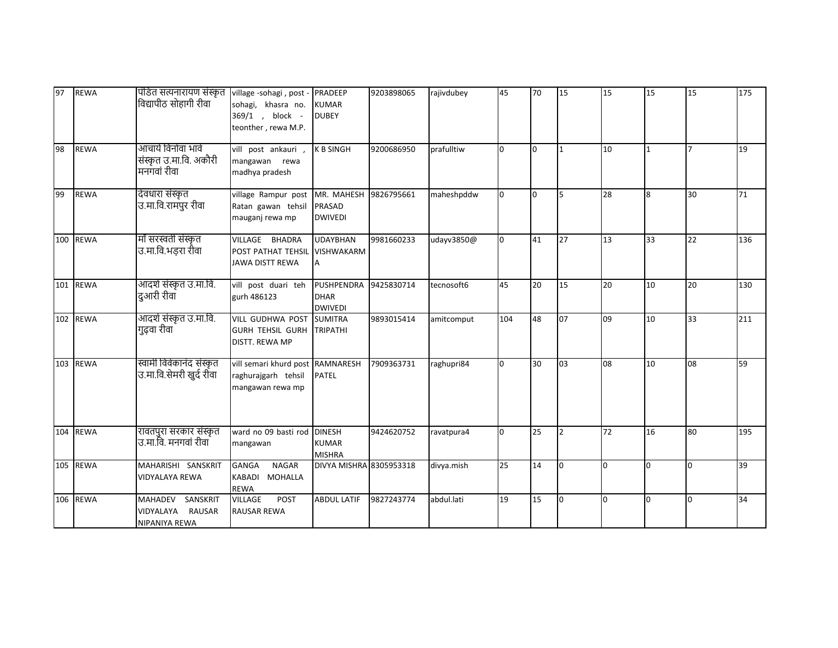| 97  | <b>REWA</b> | पंडित सत्यनारायण संस्कृत<br>विद्यापीठ सोहागी रीवा               | village -sohagi, post - PRADEEP<br>sohagi, khasra no.<br>369/1, block -<br>teonther, rewa M.P. | <b>KUMAR</b><br><b>DUBEY</b>                       | 9203898065 | rajivdubey | 45           | 70 | 15             | 15 | 15           | 15             | 175 |
|-----|-------------|-----------------------------------------------------------------|------------------------------------------------------------------------------------------------|----------------------------------------------------|------------|------------|--------------|----|----------------|----|--------------|----------------|-----|
| 98  | <b>REWA</b> | आचार्य विनोवा भावे<br>संस्कृत उ.मा.वि. अकौरी<br>मनगवां रीवा     | vill post ankauri,<br>mangawan rewa<br>madhya pradesh                                          | <b>K B SINGH</b>                                   | 9200686950 | prafulltiw | n.           | l0 | 1              | 10 | $\mathbf{1}$ | $\overline{7}$ | 19  |
| 99  | <b>REWA</b> | देवधारा संस्कृत<br>उ.मा.वि.रामपुर रीवा                          | village Rampur post<br>Ratan gawan tehsil<br>mauganj rewa mp                                   | MR. MAHESH<br>PRASAD<br><b>DWIVEDI</b>             | 9826795661 | maheshpddw | <sup>0</sup> | l0 | 5              | 28 | 8            | 30             | 71  |
|     | 100 REWA    | माँ सरस्वती संस्कृत<br>उ.मा.वि.भड़रा रीवा                       | VILLAGE BHADRA<br>POST PATHAT TEHSIL<br><b>JAWA DISTT REWA</b>                                 | <b>UDAYBHAN</b><br><b>VISHWAKARM</b>               | 9981660233 | udayv3850@ | n.           | 41 | 27             | 13 | 33           | 22             | 136 |
|     | 101 REWA    | आदर्श संस्कृत उ.मा.वि.<br>दुआरी रीवाँ                           | vill post duari teh<br>gurh 486123                                                             | <b>PUSHPENDRA</b><br><b>DHAR</b><br><b>DWIVEDI</b> | 9425830714 | tecnosoft6 | 45           | 20 | 15             | 20 | 10           | 20             | 130 |
|     | 102 REWA    | आदर्श संस्कृत उ.मा.वि.<br>गुढ़वा रीवा                           | VILL GUDHWA POST<br><b>GURH TEHSIL GURH</b><br>DISTT. REWA MP                                  | <b>SUMITRA</b><br><b>TRIPATHI</b>                  | 9893015414 | amitcomput | 104          | 48 | 07             | 09 | 10           | 33             | 211 |
|     | 103 REWA    | स्वामी विवेकानंद संस्कृत<br>उ.मा.वि.सेमरी खुर्द रीवा            | vill semari khurd post RAMNARESH<br>raghurajgarh tehsil<br>mangawan rewa mp                    | <b>PATEL</b>                                       | 7909363731 | raghupri84 | n.           | 30 | 0 <sub>3</sub> | 08 | 10           | 08             | 59  |
| 104 | <b>REWA</b> | रावतपुरा सरकार संस्कृत<br>उ.मा.वि. मनगवां रीवा                  | ward no 09 basti rod<br>mangawan                                                               | <b>DINESH</b><br><b>KUMAR</b><br><b>MISHRA</b>     | 9424620752 | ravatpura4 | <sup>0</sup> | 25 | $\overline{2}$ | 72 | 16           | 80             | 195 |
|     | 105 REWA    | MAHARISHI SANSKRIT<br><b>VIDYALAYA REWA</b>                     | <b>GANGA</b><br><b>NAGAR</b><br>KABADI MOHALLA<br><b>REWA</b>                                  | DIVYA MISHRA 8305953318                            |            | divya.mish | 25           | 14 | <sup>o</sup>   | l0 | <sup>0</sup> | l0.            | 39  |
|     | 106 REWA    | <b>MAHADEV</b><br>SANSKRIT<br>VIDYALAYA RAUSAR<br>NIPANIYA REWA | <b>VILLAGE</b><br>POST<br><b>RAUSAR REWA</b>                                                   | <b>ABDUL LATIF</b>                                 | 9827243774 | abdul.lati | 19           | 15 | l0             | l0 | l0           | l0             | 34  |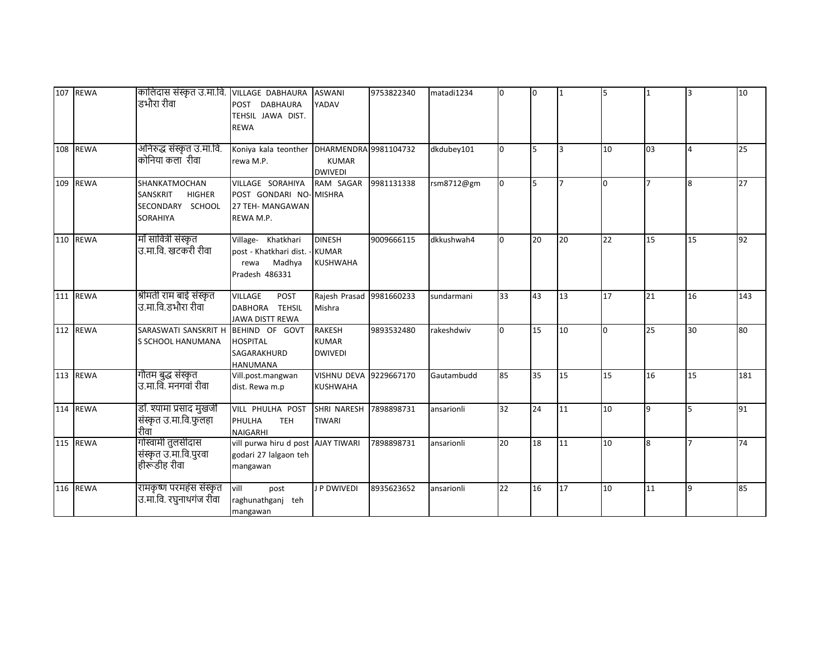| 107 REWA | कालिदास संस्कृत उ.मा.वि. VILLAGE DABHAURA ASWANI<br>डभौरा रीवा                    | POST DABHAURA<br>TEHSIL JAWA DIST.<br><b>REWA</b>                                  | YADAV                                            | 9753822340 | matadi1234 | n. | I0 |                | 5   | $\mathbf{1}$   | 3        | 10  |
|----------|-----------------------------------------------------------------------------------|------------------------------------------------------------------------------------|--------------------------------------------------|------------|------------|----|----|----------------|-----|----------------|----------|-----|
| 108 REWA | अनिरुद्ध संस्कृत उ.मा.वि.<br>कोनिया कला रीवा                                      | Koniya kala teonther DHARMENDRA 9981104732<br>rewa M.P.                            | <b>KUMAR</b><br><b>DWIVEDI</b>                   |            | dkdubey101 | n. | 5  | l٦.            | 10  | 03             | 4        | 25  |
| 109 REWA | SHANKATMOCHAN<br>SANSKRIT<br><b>HIGHER</b><br>SECONDARY SCHOOL<br><b>SORAHIYA</b> | VILLAGE SORAHIYA<br>POST GONDARI NO-MISHRA<br>27 TEH- MANGAWAN<br>REWA M.P.        | RAM SAGAR                                        | 9981131338 | rsm8712@gm |    | 5  | $\overline{ }$ | l0. | $\overline{ }$ | <b>R</b> | 27  |
| 110 REWA | माँ सावित्री संस्कृत<br>उ.मा.वि. खटकरी रीवा                                       | Village- Khatkhari<br>post - Khatkhari dist. -<br>Madhya<br>rewa<br>Pradesh 486331 | <b>DINESH</b><br><b>KUMAR</b><br><b>KUSHWAHA</b> | 9009666115 | dkkushwah4 | n. | 20 | 20             | 22  | 15             | 15       | 92  |
| 111 REWA | श्रीमती राम बाई संस्कृत<br>उ.मा.वि.डभौरा रीवा                                     | <b>VILLAGE</b><br>POST<br>DABHORA TEHSIL<br>JAWA DISTT REWA                        | Rajesh Prasad<br>Mishra                          | 9981660233 | sundarmani | 33 | 43 | 13             | 17  | 21             | 16       | 143 |
| 112 REWA | SARASWATI SANSKRIT H<br>S SCHOOL HANUMANA                                         | BEHIND OF GOVT<br><b>HOSPITAL</b><br>SAGARAKHURD<br><b>HANUMANA</b>                | <b>RAKESH</b><br><b>KUMAR</b><br><b>DWIVEDI</b>  | 9893532480 | rakeshdwiv | n. | 15 | 10             | 0   | 25             | 30       | 80  |
| 113 REWA | गौतम बुद्ध संस्कृत<br>उ.मा.वि. मनगवां रीवा                                        | Vill.post.mangwan<br>dist. Rewa m.p                                                | <b>VISHNU DEVA</b><br><b>KUSHWAHA</b>            | 9229667170 | Gautambudd | 85 | 35 | 15             | 15  | 16             | 15       | 181 |
| 114 REWA | डॉ. श्यामा प्रसाद मुखर्जी<br>संस्कृत उ.मा.वि.फुलहा<br>रीवाँ                       | VILL PHULHA POST<br>PHULHA<br><b>TEH</b><br><b>NAIGARHI</b>                        | SHRI NARESH<br><b>TIWARI</b>                     | 7898898731 | ansarionli | 32 | 24 | 11             | 10  | q              | 5        | 91  |
| 115 REWA | गोस्वामी तुलसीदास<br>संस्कृत उ.मा.वि.पुरवा<br>हीरूडीह रीवा                        | vill purwa hiru d post AJAY TIWARI<br>godari 27 lalgaon teh<br>mangawan            |                                                  | 7898898731 | ansarionli | 20 | 18 | 11             | 10  | 8              |          | 74  |
| 116 REWA | रामकृष्ण परमहंस संस्कृत<br>उ.मा.वि. रघुनाथगंज रीवा                                | vill<br>post<br>raghunathganj teh<br>mangawan                                      | <b>J P DWIVEDI</b>                               | 8935623652 | ansarionli | 22 | 16 | 17             | 10  | 11             | <b>q</b> | 85  |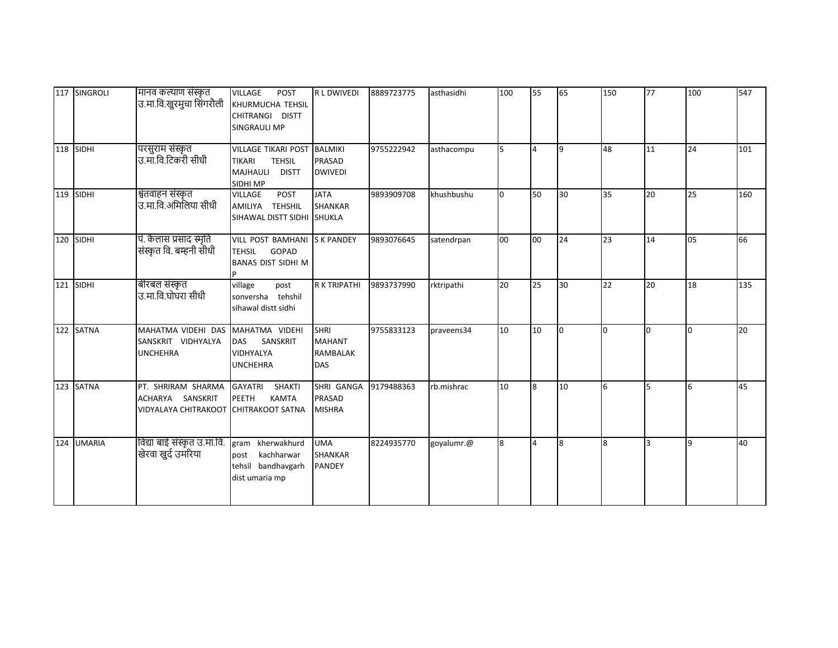|     | 117 SINGROLI  | मानव कल्याण संस्कृत<br>उ.मा.वि.खुरमुचा सिंगरौली                       | <b>VILLAGE</b><br><b>POST</b><br>KHURMUCHA TEHSIL<br>CHITRANGI DISTT<br><b>SINGRAULI MP</b>          | <b>RLDWIVEDI</b>                                              | 8889723775 | asthasidhi | 100 | 55             | 65 | 150 | 77           | 100 | 547 |
|-----|---------------|-----------------------------------------------------------------------|------------------------------------------------------------------------------------------------------|---------------------------------------------------------------|------------|------------|-----|----------------|----|-----|--------------|-----|-----|
| 118 | SIDHI         | परसुराम संस्कृत<br>उ.मा.वि.टिकरी सीधी                                 | <b>VILLAGE TIKARI POST</b><br><b>TEHSIL</b><br><b>TIKARI</b><br>MAJHAULI<br><b>DISTT</b><br>SIDHI MP | <b>BALMIKI</b><br><b>PRASAD</b><br><b>DWIVEDI</b>             | 9755222942 | asthacompu |     | $\overline{4}$ | ۱q | 48  | 11           | 24  | 101 |
|     | 119 SIDHI     | श्वेतवाहन संस्कृत<br>उ.मा.वि.अमिलिया सीधी                             | <b>POST</b><br><b>VILLAGE</b><br>AMILIYA TEHSHIL<br>SIHAWAL DISTT SIDHI SHUKLA                       | <b>JATA</b><br><b>SHANKAR</b>                                 | 9893909708 | khushbushu |     | 50             | 30 | 35  | 20           | 25  | 160 |
|     | 120 SIDHI     | पं. कैलास प्रसाद स्मृति<br>संस्कृत वि. बम्हनी सीधी                    | VILL POST BAMHANI S K PANDEY<br><b>TEHSIL</b><br>GOPAD<br><b>BANAS DIST SIDHI M</b>                  |                                                               | 9893076645 | satendrpan | 00  | loo            | 24 | 23  | 14           | 05  | 66  |
|     | 121 SIDHI     | बीरबल संस्कृत<br>उ.मा.वि.घोघरा सीधी                                   | village<br>post<br>sonversha tehshil<br>sihawal distt sidhi                                          | <b>R K TRIPATHI</b>                                           | 9893737990 | rktripathi | 20  | 25             | 30 | 22  | 20           | 18  | 135 |
|     | 122 SATNA     | MAHATMA VIDEHI DAS<br>SANSKRIT VIDHYALYA<br><b>UNCHEHRA</b>           | MAHATMA VIDEHI<br>SANSKRIT<br><b>DAS</b><br><b>VIDHYALYA</b><br><b>UNCHEHRA</b>                      | <b>SHRI</b><br><b>MAHANT</b><br><b>RAMBALAK</b><br><b>DAS</b> | 9755833123 | praveens34 | 10  | 10             | I٥ | 0   | <sup>0</sup> | l0. | 20  |
|     | 123 SATNA     | PT. SHRIRAM SHARMA<br>ACHARYA SANSKRIT<br><b>VIDYALAYA CHITRAKOOT</b> | <b>GAYATRI</b><br>SHAKTI<br><b>KAMTA</b><br><b>PEETH</b><br><b>CHITRAKOOT SATNA</b>                  | SHRI GANGA<br><b>PRASAD</b><br><b>MISHRA</b>                  | 9179488363 | rb.mishrac | 10  | l8             | 10 | 6   | 5            | 6   | 45  |
| 124 | <b>UMARIA</b> | विद्या बाई संस्कृत उ.मा.वि.<br>खेरवा खुर्द उमरिया                     | kherwakhurd<br>gram<br>kachharwar<br>post<br>tehsil bandhavgarh<br>dist umaria mp                    | <b>UMA</b><br>SHANKAR<br>PANDEY                               | 8224935770 | goyalumr.@ | 8   | $\overline{4}$ | 8  | 8   | 3            | ١q  | 40  |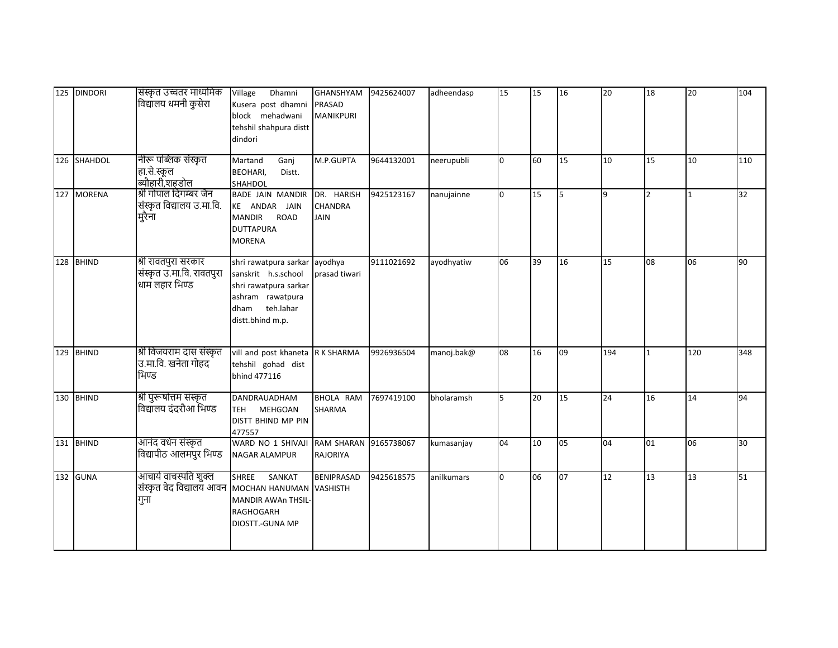|     | 125 DINDORI  | संस्कृत उच्चतर माध्यमिक<br>विद्यालय धमनी कुसेरा                    | Dhamni<br>Village<br>Kusera post dhamni<br>block mehadwani<br>tehshil shahpura distt<br>dindori                                 | <b>GHANSHYAM</b><br><b>PRASAD</b><br><b>MANIKPURI</b> | 9425624007 | adheendasp | 15           | 15 | 16 | 20  | 18             | 20           | 104 |
|-----|--------------|--------------------------------------------------------------------|---------------------------------------------------------------------------------------------------------------------------------|-------------------------------------------------------|------------|------------|--------------|----|----|-----|----------------|--------------|-----|
|     | 126 SHAHDOL  | नीरू पब्लिक संस्कृत<br>हा.से.स्कूल<br>.<br>ब्यौहारी,शहडोल          | Martand<br>Ganj<br><b>BEOHARI,</b><br>Distt.<br>SHAHDOL                                                                         | M.P.GUPTA                                             | 9644132001 | neerupubli | $\Omega$     | 60 | 15 | 10  | 15             | 10           | 110 |
|     | 127 MORENA   | श्री गोपाल दिगम्बर जैन<br>संस्कृत विद्यालय उ.मा.वि.<br>मुरैना      | BADE JAIN MANDIR<br>KE ANDAR JAIN<br><b>MANDIR</b><br><b>ROAD</b><br><b>DUTTAPURA</b><br><b>MORENA</b>                          | DR. HARISH<br><b>CHANDRA</b><br><b>JAIN</b>           | 9425123167 | nanujainne | $\Omega$     | 15 | 5  | 9   | $\overline{2}$ | $\mathbf{1}$ | 32  |
| 128 | <b>BHIND</b> | श्री रावतपुरा सरकार<br>संस्कृत उ.मा.वि. रावतपुरा<br>धाम लहार भिण्ड | shri rawatpura sarkar<br>sanskrit h.s.school<br>shri rawatpura sarkar<br>ashram rawatpura<br>dham teh.lahar<br>distt.bhind m.p. | ayodhya<br>prasad tiwari                              | 9111021692 | ayodhyatiw | 06           | 39 | 16 | 15  | 08             | 06           | 90  |
|     | 129 BHIND    | श्री विजयराम दास संस्कृत<br>उ.मा.वि. खनेता गोहद<br>भिण्ड           | vill and post khaneta R K SHARMA<br>tehshil gohad dist<br>bhind 477116                                                          |                                                       | 9926936504 | manoj.bak@ | 08           | 16 | 09 | 194 | $\mathbf{1}$   | 120          | 348 |
|     | 130 BHIND    | श्री पुरूषोत्तम संस्कृत<br>विद्यालय दंदरौआ भिण्ड                   | DANDRAUADHAM<br>MEHGOAN<br><b>TEH</b><br>DISTT BHIND MP PIN<br>477557                                                           | BHOLA RAM<br>SHARMA                                   | 7697419100 | bholaramsh | 5            | 20 | 15 | 24  | 16             | 14           | 94  |
|     | 131 BHIND    | आनंद वर्धन संस्कृत<br>विद्यापीठ आलमपुर भिण्ड                       | WARD NO 1 SHIVAJI<br>NAGAR ALAMPUR                                                                                              | <b>RAM SHARAN</b><br><b>RAJORIYA</b>                  | 9165738067 | kumasanjay | 04           | 10 | 05 | 04  | 01             | 06           | 30  |
|     | 132 GUNA     | आचार्य वाचस्पति शुक्ल<br>संस्कृत वेद विद्यालय आवन<br>गुना          | <b>SHREE</b><br>SANKAT<br>MOCHAN HANUMAN<br><b>MANDIR AWAn THSIL-</b><br><b>RAGHOGARH</b><br>DIOSTT.-GUNA MP                    | <b>BENIPRASAD</b><br><b>VASHISTH</b>                  | 9425618575 | anilkumars | <sup>0</sup> | 06 | 07 | 12  | 13             | 13           | 51  |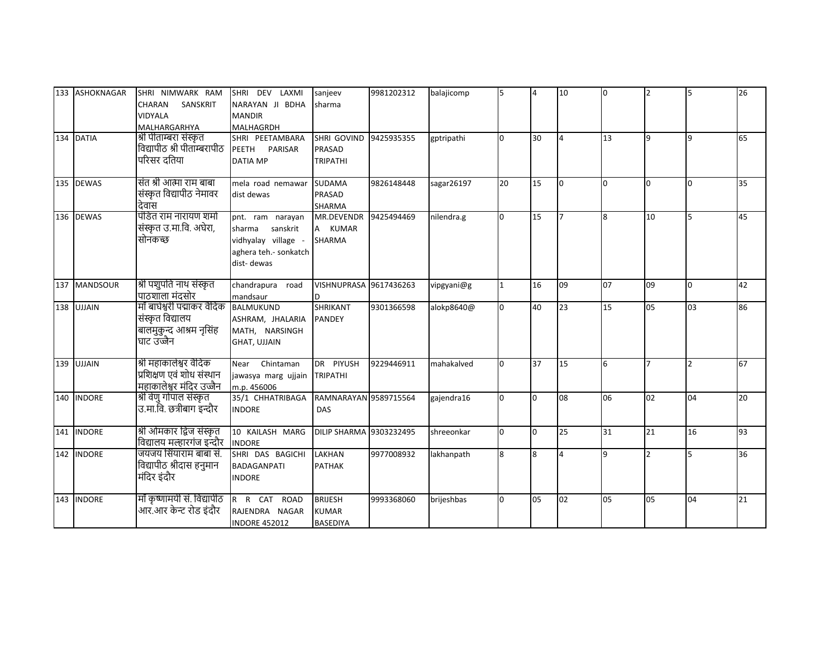|     | 133 ASHOKNAGAR  | SHRI NIMWARK RAM                              | SHRI DEV LAXMI        | sanjeev                        | 9981202312 | balajicomp | 5            | $\overline{4}$ | 10             | lo.      | 2                        |              | 26 |
|-----|-----------------|-----------------------------------------------|-----------------------|--------------------------------|------------|------------|--------------|----------------|----------------|----------|--------------------------|--------------|----|
|     |                 | SANSKRIT<br>CHARAN                            | NARAYAN JI BDHA       | sharma                         |            |            |              |                |                |          |                          |              |    |
|     |                 | <b>VIDYALA</b>                                | <b>MANDIR</b>         |                                |            |            |              |                |                |          |                          |              |    |
|     |                 | MALHARGARHYA                                  | MALHAGRDH             |                                |            |            |              |                |                |          |                          |              |    |
|     | 134 DATIA       | श्री पीताम्बरा संस्कृत                        | SHRI PEETAMBARA       | SHRI GOVIND                    | 9425935355 | gptripathi | n            | 30             | $\overline{4}$ | 13       | q                        | $\mathbf{q}$ | 65 |
|     |                 | विद्यापीठ श्री पीतांम्बरापीठ                  | PEETH PARISAR         | PRASAD                         |            |            |              |                |                |          |                          |              |    |
|     |                 | परिसर दतिया                                   | <b>DATIA MP</b>       | <b>TRIPATHI</b>                |            |            |              |                |                |          |                          |              |    |
|     |                 |                                               |                       |                                |            |            |              |                |                |          |                          |              |    |
|     | 135 DEWAS       | संत श्री आत्मा राम बाबा                       | mela road nemawar     | <b>SUDAMA</b>                  | 9826148448 | sagar26197 | 20           | 15             | <sup>0</sup>   | $\Omega$ | $\Omega$                 | n.           | 35 |
|     |                 | संस्कृत विद्यापीठ नेमावर                      | dist dewas            | <b>PRASAD</b>                  |            |            |              |                |                |          |                          |              |    |
|     |                 | देवास                                         |                       | <b>SHARMA</b>                  |            |            |              |                |                |          |                          |              |    |
|     | 136 DEWAS       | पंडित राम नारायण शर्मा                        | pnt. ram narayan      | MR.DEVENDR                     | 9425494469 | nilendra.g |              | 15             |                | 8        | 10                       | 5            | 45 |
|     |                 | संस्कृत उ.मा.वि. अघेरा,                       | sharma sanskrit       | A KUMAR                        |            |            |              |                |                |          |                          |              |    |
|     |                 | सोनकच्छ                                       | vidhyalay village -   | <b>SHARMA</b>                  |            |            |              |                |                |          |                          |              |    |
|     |                 |                                               | aghera teh.- sonkatch |                                |            |            |              |                |                |          |                          |              |    |
|     |                 |                                               | dist-dewas            |                                |            |            |              |                |                |          |                          |              |    |
|     |                 |                                               |                       |                                |            |            |              |                |                |          |                          |              |    |
| 137 | <b>MANDSOUR</b> | श्री पशुपति नाथ संस्कृत                       | chandrapura road      | VISHNUPRASA 9617436263         |            | vipgyani@g |              | 16             | 09             | 07       | 09                       | <sup>0</sup> | 42 |
|     |                 | पाठशाला मंदसोर<br>माँ बाघेश्वरी पद्माकर वैदिक | mandsaur              |                                |            |            |              |                |                |          |                          |              |    |
| 138 | <b>UJJAIN</b>   |                                               | <b>BALMUKUND</b>      | <b>SHRIKANT</b>                | 9301366598 | alokp8640@ |              | 40             | 23             | 15       | 05                       | 03           | 86 |
|     |                 | संस्कृत विद्यालय                              | ASHRAM, JHALARIA      | <b>PANDEY</b>                  |            |            |              |                |                |          |                          |              |    |
|     |                 | बालमुकुन्द आश्रम नृसिंह                       | MATH, NARSINGH        |                                |            |            |              |                |                |          |                          |              |    |
|     |                 | घाट उज्जैन                                    | <b>GHAT, UJJAIN</b>   |                                |            |            |              |                |                |          |                          |              |    |
|     | 139 UJJAIN      | श्री महाकालेश्वर वैदिक                        | Chintaman<br>Near     | DR PIYUSH                      | 9229446911 | mahakalved |              | 37             | 15             | 6        |                          |              | 67 |
|     |                 | प्रशिक्षण एवं शोध संस्थान                     | jawasya marg ujjain   | <b>TRIPATHI</b>                |            |            |              |                |                |          |                          |              |    |
|     |                 | महाकालेश्वर मंदिर उज्जैन                      | m.p. 456006           |                                |            |            |              |                |                |          |                          |              |    |
|     | 140 INDORE      | श्री वेणु गोपाल संस्कृत                       | 35/1 CHHATRIBAGA      | RAMNARAYAN 9589715564          |            | gajendra16 | n.           | l0             | 08             | 06       | 02                       | 04           | 20 |
|     |                 | उ.मा.वि. छत्रीबाग इन्दौर                      | <b>INDORE</b>         | DAS                            |            |            |              |                |                |          |                          |              |    |
|     |                 |                                               |                       |                                |            |            |              |                |                |          |                          |              |    |
|     | 141 INDORE      | श्री ओमकार द्विज संस्कृत                      | 10 KAILASH MARG       | <b>DILIP SHARMA 9303232495</b> |            | shreeonkar | <sup>0</sup> | l0.            | 25             | 31       | 21                       | 16           | 93 |
|     |                 | विद्यालय मल्हारगंज इन्दौर                     | <b>INDORE</b>         |                                |            |            |              |                |                |          |                          |              |    |
|     | 142 INDORE      | जयजय सिंयाराम बाबा सं.                        | SHRI DAS BAGICHI      | LAKHAN                         | 9977008932 | lakhanpath | 8            | 8              | $\Delta$       | 9        | $\overline{\phantom{a}}$ |              | 36 |
|     |                 | विद्यापीठ श्रीदास हनुमान                      | <b>BADAGANPATI</b>    | <b>PATHAK</b>                  |            |            |              |                |                |          |                          |              |    |
|     |                 | मंदिर इंदौर                                   | <b>INDORE</b>         |                                |            |            |              |                |                |          |                          |              |    |
|     |                 |                                               |                       |                                |            |            |              |                |                |          |                          |              |    |
|     | 143 INDORE      | माँ कृष्णामयी सं. विद्यापीठ                   | R R CAT ROAD          | <b>BRIJESH</b>                 | 9993368060 | brijeshbas | n.           | 05             | 02             | 05       | 05                       | 04           | 21 |
|     |                 | आर.आर केन्ट रोड इंदौर                         | RAJENDRA NAGAR        | <b>KUMAR</b>                   |            |            |              |                |                |          |                          |              |    |
|     |                 |                                               | <b>INDORE 452012</b>  | <b>BASEDIYA</b>                |            |            |              |                |                |          |                          |              |    |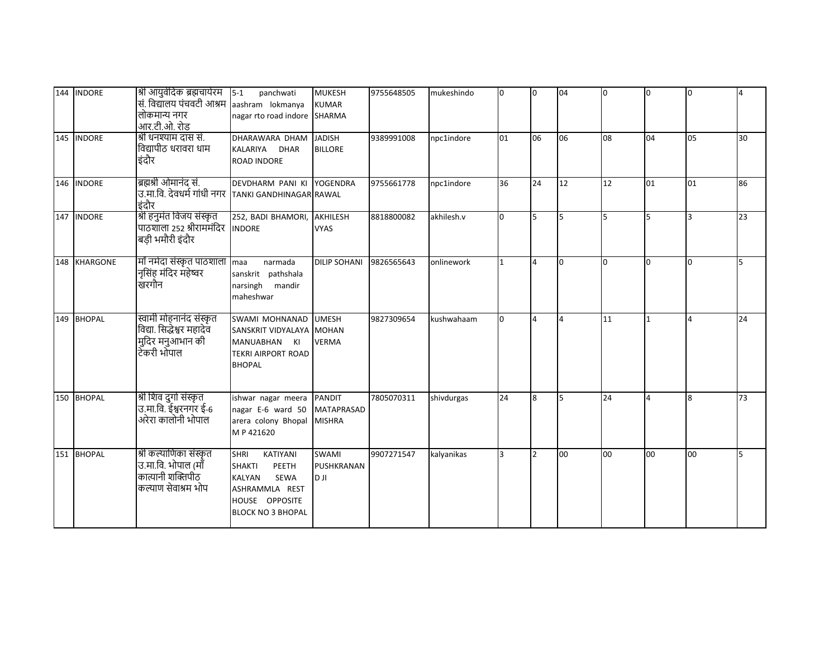| 144 INDORE   | श्री आयुर्वदिक ब्रह्मचार्यरम<br>सं. विद्यालय पंचवटी आश्रम<br>लोकमान्य नगर<br>आर.टी.ओ. रोड | $5-1$<br>panchwati<br>aashram lokmanya<br>nagar rto road indore SHARMA                                                                     | <b>MUKESH</b><br><b>KUMAR</b>             | 9755648505 | mukeshindo | <sup>o</sup> | l0                      | 04  | 0              | $\Omega$ | $\overline{0}$ | $\overline{4}$ |
|--------------|-------------------------------------------------------------------------------------------|--------------------------------------------------------------------------------------------------------------------------------------------|-------------------------------------------|------------|------------|--------------|-------------------------|-----|----------------|----------|----------------|----------------|
| 145 INDORE   | श्री धनश्याम दास सं.<br>विद्यापीठ धरावरा धाम<br>इंदौर                                     | DHARAWARA DHAM<br>KALARIYA DHAR<br><b>ROAD INDORE</b>                                                                                      | <b>JADISH</b><br><b>BILLORE</b>           | 9389991008 | npc1indore | 01           | 06                      | 06  | 08             | 04       | 05             | 30             |
| 146 INDORE   | ब्रह्मश्री ओमानंद सं.<br>उ.मा.वि. देवधर्म गांधी नगर<br>इंदौर                              | DEVDHARM PANI KI YOGENDRA<br><b>TANKI GANDHINAGAR RAWAL</b>                                                                                |                                           | 9755661778 | npc1indore | 36           | 24                      | 12  | 12             | 01       | 01             | 86             |
| 147 INDORE   | श्री हनुमंत विजय संस्कृत<br>पाठशाला २५२ श्रीराममंदिर<br>बड़ी भमौरी इंदौर                  | 252, BADI BHAMORI, AKHILESH<br><b>INDORE</b>                                                                                               | <b>VYAS</b>                               | 8818800082 | akhilesh.v | <sup>o</sup> | 5                       | 5   | 5              | 5        | 3              | 23             |
| 148 KHARGONE | माँ नर्मदा संस्कृत पाठशाला<br>नृसिंह मंदिर महेष्वर<br>खरगौन                               | maa<br>narmada<br>sanskrit pathshala<br>narsingh mandir<br>maheshwar                                                                       | <b>DILIP SOHANI</b>                       | 9826565643 | onlinework |              | $\overline{4}$          | l0  | $\overline{0}$ | $\Omega$ | n.             | 15             |
| 149 BHOPAL   | स्वामी मोहनानंद संस्कृत<br>विद्या. सिद्धेश्वर महादेव<br>मुदिर मनुआभान की<br>टेकरी भोपाल   | <b>SWAMI MOHNANAD</b><br>SANSKRIT VIDYALAYA MOHAN<br>MANUABHAN KI<br><b>TEKRI AIRPORT ROAD</b><br><b>BHOPAL</b>                            | <b>UMESH</b><br><b>VERMA</b>              | 9827309654 | kushwahaam | 0            | $\overline{\mathbf{A}}$ | 4   | 11             |          | $\overline{4}$ | 24             |
| 150 BHOPAL   | श्री शिव दुर्गा संस्कृत<br>उ.मा.वि. ईश्वरनगर ई-6<br>अरेरा कालोनी भोपाल                    | ishwar nagar meera PANDIT<br>nagar E-6 ward 50<br>arera colony Bhopal MISHRA<br>MP 421620                                                  | <b>MATAPRASAD</b>                         | 7805070311 | shivdurgas | 24           | $\overline{8}$          | ls. | 24             | $\Delta$ | 8              | 73             |
| 151 BHOPAL   | श्री कल्याणिका संस्कृत<br>उ.मा.वि. भोपाल (माँ<br>कात्यानी शक्तिपीठ<br>कल्याण सेवाश्रम भोप | <b>SHRI</b><br>KATIYANI<br><b>SHAKTI</b><br>PEETH<br><b>KALYAN</b><br>SEWA<br>ASHRAMMLA REST<br>HOUSE OPPOSITE<br><b>BLOCK NO 3 BHOPAL</b> | <b>SWAMI</b><br><b>PUSHKRANAN</b><br>IL O | 9907271547 | kalyanikas | lЗ           | $\mathfrak{p}$          | 00  | 00             | 00       | 00             | 15             |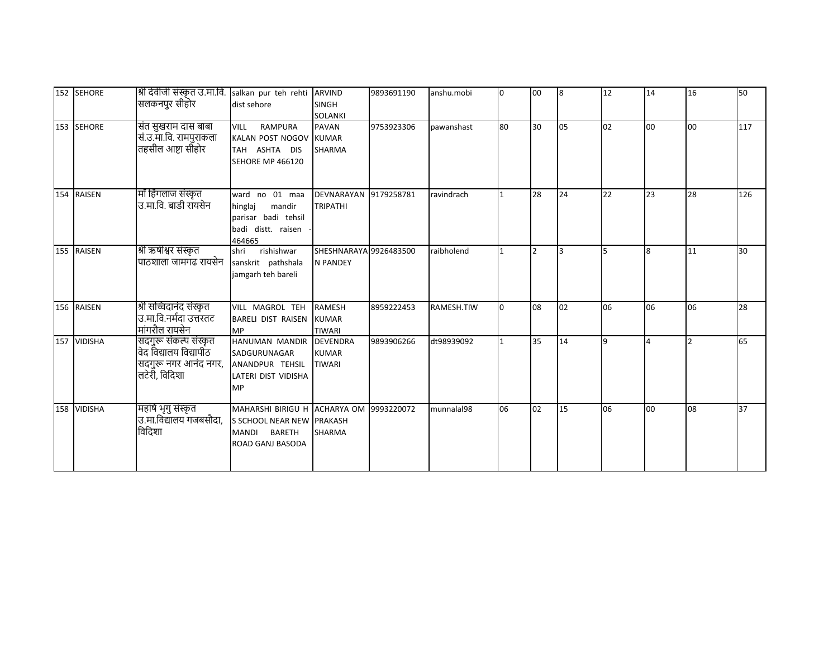| 152 SEHORE  | श्री देवीजी संस्कृत उ.मा.वि.<br>सलकनपुर सीहोर                                            | salkan pur teh rehti ARVIND<br>dist sehore                                                                     | <b>SINGH</b><br><b>SOLANKI</b>                 | 9893691190 | anshu.mobi | <sup>o</sup> | loo            | 8  | 12 | 14       | 16 | 50  |
|-------------|------------------------------------------------------------------------------------------|----------------------------------------------------------------------------------------------------------------|------------------------------------------------|------------|------------|--------------|----------------|----|----|----------|----|-----|
| 153 SEHORE  | संत सुखराम दास बाबा<br>सं.उ.मा.वि. रामपुराकला<br>तहसील आष्टा सीँहोर                      | <b>VILL</b><br><b>RAMPURA</b><br>KALAN POST NOGOV<br>TAH ASHTA DIS<br><b>SEHORE MP 466120</b>                  | PAVAN<br><b>KUMAR</b><br><b>SHARMA</b>         | 9753923306 | pawanshast | 80           | 30             | 05 | 02 | 00       | 00 | 117 |
| 154 RAISEN  | माँ हिंगलाज संस्कृत<br>उ.मा.वि. बाडी रायसेन                                              | ward no 01 maa<br>hinglaj<br>mandir<br>parisar badi tehsil<br>badi distt. raisen<br>464665                     | DEVNARAYAN 9179258781<br><b>TRIPATHI</b>       |            | ravindrach |              | 28             | 24 | 22 | 23       | 28 | 126 |
| 155 RAISEN  | श्री ऋषीश्वर संस्कृत<br>पाठशाला जामगढ रायसेन                                             | shri<br>rishishwar<br>sanskrit pathshala<br>jamgarh teh bareli                                                 | SHESHNARAYA 9926483500<br><b>N PANDEY</b>      |            | raibholend |              | $\overline{2}$ | lз | 5  | 8        | 11 | 30  |
| 156 RAISEN  | श्री सच्चिदानंद संस्कृत<br>उ.मा.वि.नर्मदा उत्तरतट<br>मांगरौल रायसेन                      | VILL MAGROL TEH<br><b>BARELI DIST RAISEN</b><br><b>MP</b>                                                      | <b>RAMESH</b><br><b>KUMAR</b><br><b>TIWARI</b> | 8959222453 | RAMESH.TIW |              | 08             | 02 | 06 | 06       | 06 | 28  |
| 157 VIDISHA | सदगुरू संकल्प संस्कृत<br>वेद विद्यालय विद्यापीठ<br>सदगुरू नगर आनंद नगर,<br>लटेरी, विदिशा | HANUMAN MANDIR DEVENDRA<br>SADGURUNAGAR<br>ANANDPUR TEHSIL<br>LATERI DIST VIDISHA<br><b>MP</b>                 | <b>KUMAR</b><br><b>TIWARI</b>                  | 9893906266 | dt98939092 |              | 35             | 14 | 9  | $\Delta$ |    | 65  |
| 158 VIDISHA | महर्षि भृगु संस्कृत<br>उ.मा.विद्यालय गजबसौदा,<br>विदिशा                                  | MAHARSHI BIRIGU H ACHARYA OM<br>S SCHOOL NEAR NEW PRAKASH<br><b>BARETH</b><br><b>MANDI</b><br>ROAD GANJ BASODA | SHARMA                                         | 9993220072 | munnalal98 | 06           | 02             | 15 | 06 | 00       | 08 | 37  |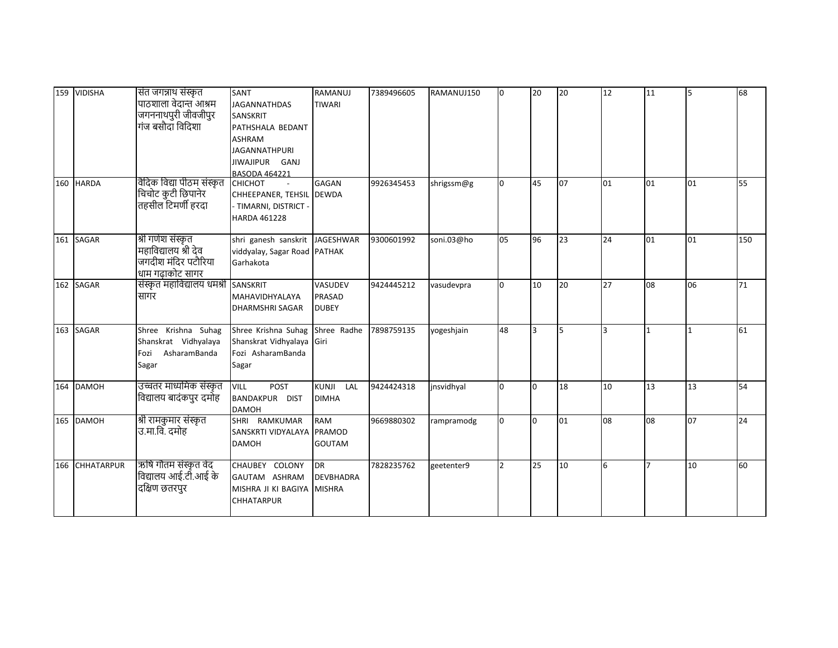|     | 159 VIDISHA    | संत जगन्नाथ संस्कृत                           | SANT                                        | <b>RAMANUJ</b>   | 7389496605 | RAMANUJ150 | n.           | 20  | 20 | 12 | 11 | 5  | 68  |
|-----|----------------|-----------------------------------------------|---------------------------------------------|------------------|------------|------------|--------------|-----|----|----|----|----|-----|
|     |                | पाठशाला वेदान्त आश्रम                         | <b>JAGANNATHDAS</b>                         | <b>TIWARI</b>    |            |            |              |     |    |    |    |    |     |
|     |                | जगननाथपुरी जीवजीपुर                           | SANSKRIT                                    |                  |            |            |              |     |    |    |    |    |     |
|     |                | गंज बसौदा विदिशा                              | PATHSHALA BEDANT                            |                  |            |            |              |     |    |    |    |    |     |
|     |                |                                               | <b>ASHRAM</b>                               |                  |            |            |              |     |    |    |    |    |     |
|     |                |                                               | <b>JAGANNATHPURI</b>                        |                  |            |            |              |     |    |    |    |    |     |
|     |                |                                               | JIWAJIPUR GANJ                              |                  |            |            |              |     |    |    |    |    |     |
|     | 160 HARDA      | वैदिक विद्या पीठम संस्कृत                     | <b>BASODA 464221</b><br><b>CHICHOT</b>      | <b>GAGAN</b>     | 9926345453 | shrigssm@g | <sup>0</sup> | 45  | 07 | 01 | 01 | 01 | 55  |
|     |                |                                               | CHHEEPANER, TEHSIL DEWDA                    |                  |            |            |              |     |    |    |    |    |     |
|     |                | .<br>चिचोट कुटी छिपानेर<br>तहसील टिमर्णी हरदा | TIMARNI, DISTRICT -                         |                  |            |            |              |     |    |    |    |    |     |
|     |                |                                               | HARDA 461228                                |                  |            |            |              |     |    |    |    |    |     |
|     |                |                                               |                                             |                  |            |            |              |     |    |    |    |    |     |
|     | 161 SAGAR      | श्री गणेश संस्कृत                             | shri ganesh sanskrit JAGESHWAR              |                  | 9300601992 | soni.03@ho | 05           | 96  | 23 | 24 | 01 | 01 | 150 |
|     |                | महाविद्यालय श्री देव                          | viddyalay, Sagar Road PATHAK                |                  |            |            |              |     |    |    |    |    |     |
|     |                | जगदीश मंदिर पटौरिया                           | Garhakota                                   |                  |            |            |              |     |    |    |    |    |     |
|     |                | धाम गढाकोट सागर                               |                                             |                  |            |            |              |     |    |    |    |    |     |
| 162 | <b>SAGAR</b>   | संस्कृत महाविद्यालय धमश्री                    | SANSKRIT                                    | VASUDEV          | 9424445212 | vasudevpra | O            | 10  | 20 | 27 | 08 | 06 | 71  |
|     |                | सागर                                          | MAHAVIDHYALAYA                              | <b>PRASAD</b>    |            |            |              |     |    |    |    |    |     |
|     |                |                                               | <b>DHARMSHRI SAGAR</b>                      | <b>DUBEY</b>     |            |            |              |     |    |    |    |    |     |
|     | 163 SAGAR      | Shree Krishna Suhag                           | Shree Krishna Suhag                         | Shree Radhe      | 7898759135 | yogeshjain | 48           | lз  | 5  | 3  | 1  |    | 61  |
|     |                | Shanskrat Vidhyalaya                          | Shanskrat Vidhyalaya Giri                   |                  |            |            |              |     |    |    |    |    |     |
|     |                | Fozi AsharamBanda                             | Fozi AsharamBanda                           |                  |            |            |              |     |    |    |    |    |     |
|     |                | Sagar                                         | Sagar                                       |                  |            |            |              |     |    |    |    |    |     |
|     |                |                                               |                                             |                  |            |            |              |     |    |    |    |    |     |
|     | 164 DAMOH      | उच्चतर माध्यमिक संस्कृत                       | <b>VILL</b><br><b>POST</b>                  | KUNJI LAL        | 9424424318 | jnsvidhyal | l0           | l0  | 18 | 10 | 13 | 13 | 54  |
|     |                | विद्यालय बादंकपुर दमोह                        | BANDAKPUR DIST                              | <b>DIMHA</b>     |            |            |              |     |    |    |    |    |     |
|     |                |                                               | <b>DAMOH</b>                                |                  |            |            |              |     |    |    |    |    |     |
|     | 165 DAMOH      | श्री रामकुमार संस्कृत                         | SHRI RAMKUMAR                               | <b>RAM</b>       | 9669880302 | rampramodg |              | lo. | 01 | 08 | 08 | 07 | 24  |
|     |                | उ.मा.वि. दमोह                                 | SANSKRTI VIDYALAYA                          | <b>PRAMOD</b>    |            |            |              |     |    |    |    |    |     |
|     |                |                                               | <b>DAMOH</b>                                | <b>GOUTAM</b>    |            |            |              |     |    |    |    |    |     |
|     | 166 CHHATARPUR | ऋषि गौतम संस्कृत वेद                          | CHAUBEY COLONY DR                           |                  | 7828235762 |            |              | 25  | 10 | 6  |    | 10 | 60  |
|     |                | विद्यालय आई.टी.आई के                          |                                             | <b>DEVBHADRA</b> |            | geetenter9 |              |     |    |    |    |    |     |
|     |                | दक्षिण छतरपुर                                 | GAUTAM ASHRAM<br>MISHRA JI KI BAGIYA MISHRA |                  |            |            |              |     |    |    |    |    |     |
|     |                |                                               | <b>CHHATARPUR</b>                           |                  |            |            |              |     |    |    |    |    |     |
|     |                |                                               |                                             |                  |            |            |              |     |    |    |    |    |     |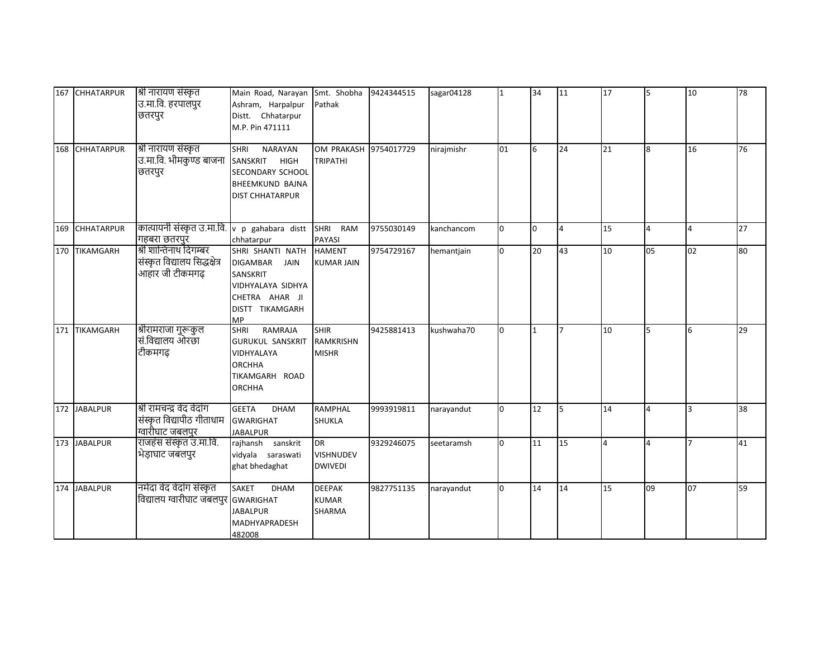| 167 | <b>CHHATARPUR</b> | श्री नारायण संस्कृत<br>उ.मा.वि. हरपालपुर<br>छतरपुर                         | Main Road, Narayan Smt. Shobha<br>Ashram, Harpalpur<br>Distt. Chhatarpur<br>M.P. Pin 471111                                           | Pathak                                          | 9424344515 | sagar04128  |              | 34           | 11             | 17             | 5              | 10             | 78 |
|-----|-------------------|----------------------------------------------------------------------------|---------------------------------------------------------------------------------------------------------------------------------------|-------------------------------------------------|------------|-------------|--------------|--------------|----------------|----------------|----------------|----------------|----|
| 168 | <b>CHHATARPUR</b> | श्री नारायण संस्कृत<br>उ.मा.वि. भीमकुण्ड बाजना<br>छतरपुर                   | <b>SHRI</b><br><b>NARAYAN</b><br>SANSKRIT<br><b>HIGH</b><br>SECONDARY SCHOOL<br><b>BHEEMKUND BAJNA</b><br><b>DIST CHHATARPUR</b>      | OM PRAKASH 9754017729<br><b>TRIPATHI</b>        |            | nirajmishr  | 01           | 6            | 24             | 21             | 8              | 16             | 76 |
| 169 | <b>CHHATARPUR</b> | कात्यायनी संस्कृत उ.मा.वि.<br>गहबरा छतरपुर                                 | v p gahabara distt<br>chhatarpur                                                                                                      | SHRI RAM<br><b>PAYASI</b>                       | 9755030149 | kanchancom  | $\Omega$     | lo.          | $\overline{4}$ | 15             | $\overline{4}$ | 4              | 27 |
|     | 170 TIKAMGARH     | श्री शान्तिनाथ दिगम्बर<br>संस्कृत विद्यालय सिद्धक्षेत्र<br>आहार जी टीकमगढ़ | SHRI SHANTI NATH<br><b>DIGAMBAR</b><br><b>JAIN</b><br>SANSKRIT<br>VIDHYALAYA SIDHYA<br>CHETRA AHAR JI<br>DISTT TIKAMGARH<br><b>MP</b> | <b>HAMENT</b><br><b>KUMAR JAIN</b>              | 9754729167 | hemantjain  | <sup>o</sup> | 20           | 43             | 10             | 05             | 02             | 80 |
| 171 | <b>TIKAMGARH</b>  | श्रीरामराजा गुरूकुल<br>सं.विद्यालय ओरछा<br>टीकमगढ़                         | RAMRAJA<br><b>SHRI</b><br><b>GURUKUL SANSKRIT</b><br>VIDHYALAYA<br><b>ORCHHA</b><br>TIKAMGARH ROAD<br><b>ORCHHA</b>                   | <b>SHIR</b><br><b>RAMKRISHN</b><br><b>MISHR</b> | 9425881413 | kushwaha 70 | n.           | $\mathbf{1}$ | $\overline{7}$ | 10             | 5              | 6              | 29 |
|     | 172 JABALPUR      | श्री रामचन्द्र वेद वेदांग<br>संस्कृत विद्यापीठ गीताधाम<br>ग्वारीघाट जबलपुर | <b>GEETA</b><br><b>DHAM</b><br><b>GWARIGHAT</b><br><b>JABALPUR</b>                                                                    | <b>RAMPHAL</b><br><b>SHUKLA</b>                 | 9993919811 | narayandut  | <sup>0</sup> | 12           | 5              | 14             | 4              | $\overline{3}$ | 38 |
|     | 173 JABALPUR      | राजहंस संस्कृत उ.मा.वि.<br>भेड़ाघाट जबलपुर                                 | rajhansh sanskrit<br>vidyala saraswati<br>ghat bhedaghat                                                                              | <b>DR</b><br><b>VISHNUDEV</b><br><b>DWIVEDI</b> | 9329246075 | seetaramsh  | n.           | 11           | 15             | $\overline{4}$ | 4              |                | 41 |
| 174 | <b>JABALPUR</b>   | नर्मदा वेद वेदांग संस्कृत<br>विद्यालय ग्वारीघाट जबलपुर GWARIGHAT           | <b>SAKET</b><br><b>DHAM</b><br><b>JABALPUR</b><br><b>MADHYAPRADESH</b><br>482008                                                      | <b>DEEPAK</b><br><b>KUMAR</b><br><b>SHARMA</b>  | 9827751135 | narayandut  | $\Omega$     | 14           | 14             | 15             | 09             | 07             | 59 |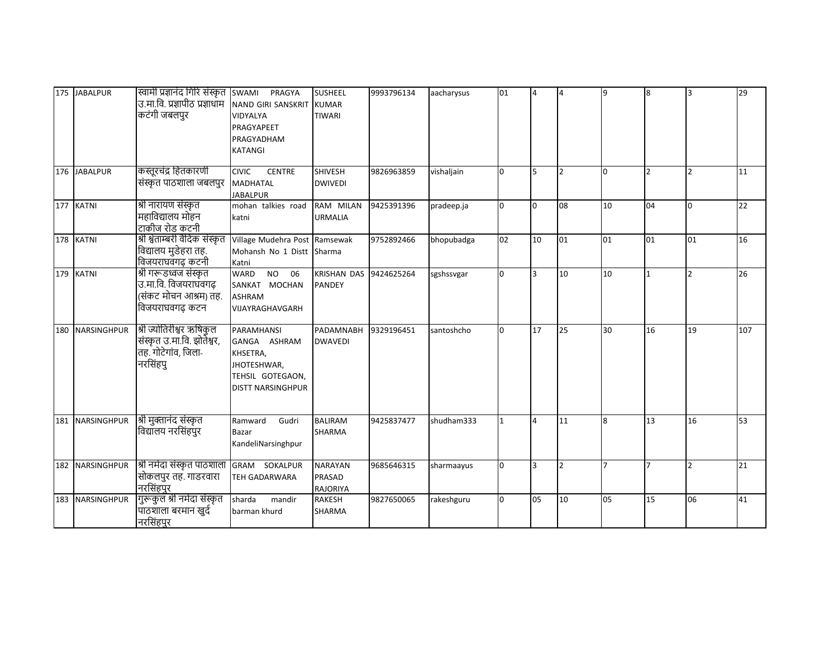|     | 175 JABALPUR       | स्वामी प्रज्ञानंद गिरि संस्कृत  swami<br>उ.मा.वि. प्रज्ञापीठ प्रज्ञाधांम<br>कटंगी जबलपुर   | PRAGYA<br>NAND GIRI SANSKRIT<br>VIDYALYA<br>PRAGYAPEET<br>PRAGYADHAM<br><b>KATANGI</b>                              | <b>SUSHEEL</b><br><b>KUMAR</b><br><b>TIWARI</b>    | 9993796134 | aacharysus | 01 | I4              | $\overline{4}$           | 9              | 8              | 3                       | 29  |
|-----|--------------------|--------------------------------------------------------------------------------------------|---------------------------------------------------------------------------------------------------------------------|----------------------------------------------------|------------|------------|----|-----------------|--------------------------|----------------|----------------|-------------------------|-----|
|     | 176 JABALPUR       | कस्तूरचंद्र हितकारणी<br>संस्कृत पाठशाला जबलपुर                                             | <b>CIVIC</b><br>CENTRE<br><b>MADHATAL</b><br><b>JABALPUR</b>                                                        | <b>SHIVESH</b><br><b>DWIVEDI</b>                   | 9826963859 | vishaljain | l0 | $\overline{5}$  | $\overline{\phantom{a}}$ | 0              | $\overline{2}$ | $\overline{2}$          | 11  |
|     | 177 KATNI          | श्री नारायण संस्कृत<br>महाविद्यालय मोहन<br>टाकीज रोड कटनी                                  | mohan talkies road<br>katni                                                                                         | RAM MILAN<br><b>URMALIA</b>                        | 9425391396 | pradeep.ja | l0 | l0              | 08                       | 10             | 04             | l0                      | 22  |
|     | 178 KATNI          | श्री श्वेताम्बरी वैदिक संस्कृत<br>विद्यालय मुडेहरा तह.<br>विजयराघवंगढ कटनी                 | Village Mudehra Post Ramsewak<br>Mohansh No 1 Distt Sharma<br>Katni                                                 |                                                    | 9752892466 | bhopubadga | 02 | 10              | 01                       | 01             | 01             | 01                      | 16  |
|     | 179 KATNI          | श्री गरूडध्वजं संस्कृत<br>उ.मा.वि. विजयराघवगढ़<br>(संकट मोचन आश्रम) तह.<br>विजयराघवगढ़ कटन | WARD<br><b>NO</b><br>06<br>SANKAT MOCHAN<br><b>ASHRAM</b><br>VIJAYRAGHAVGARH                                        | <b>KRISHAN DAS</b><br><b>PANDEY</b>                | 9424625264 | sgshssvgar | n. | R.              | 10                       | 10             | $\overline{1}$ | $\overline{\mathbf{z}}$ | 26  |
| 180 | <b>NARSINGHPUR</b> | श्री ज्योतिरीश्वर ऋषिकुल<br>संस्कृत उ.मा.वि. झोतेश्वर,<br>तह. गोटेगांव, जिला-<br>नरसिंहपु  | <b>PARAMHANSI</b><br>GANGA ASHRAM<br>KHSETRA,<br><b>JHOTESHWAR,</b><br>TEHSIL GOTEGAON,<br><b>DISTT NARSINGHPUR</b> | <b>PADAMNABH</b><br><b>DWAVEDI</b>                 | 9329196451 | santoshcho |    | 17              | 25                       | 30             | 16             | 19                      | 107 |
|     | 181 NARSINGHPUR    | श्री मुक्तानंद संस्कृत<br>विद्यालय नरसिंहपुर                                               | Ramward<br>Gudri<br>Bazar<br>KandeliNarsinghpur                                                                     | <b>BALIRAM</b><br><b>SHARMA</b>                    | 9425837477 | shudham333 |    | $\overline{4}$  | 11                       | 8              | 13             | 16                      | 53  |
| 182 | <b>NARSINGHPUR</b> | श्री नर्मदा संस्कृत पाठशाला<br>सोकलपुर तह. गाडरवारा<br>नरसिंहपुर                           | GRAM SOKALPUR<br><b>TEH GADARWARA</b>                                                                               | <b>NARAYAN</b><br><b>PRASAD</b><br><b>RAJORIYA</b> | 9685646315 | sharmaayus | l0 | $\overline{3}$  | $\overline{\phantom{a}}$ | $\overline{7}$ | $\overline{7}$ | $\overline{2}$          | 21  |
|     | 183 NARSINGHPUR    | गुरूकुल श्री नर्मदा संस्कृत<br>पाठशाला बरमान खुर्द<br>नरसिंहपुर                            | sharda<br>mandir<br>barman khurd                                                                                    | <b>RAKESH</b><br>SHARMA                            | 9827650065 | rakeshguru | n  | lo <sub>5</sub> | 10                       | 05             | 15             | 06                      | 41  |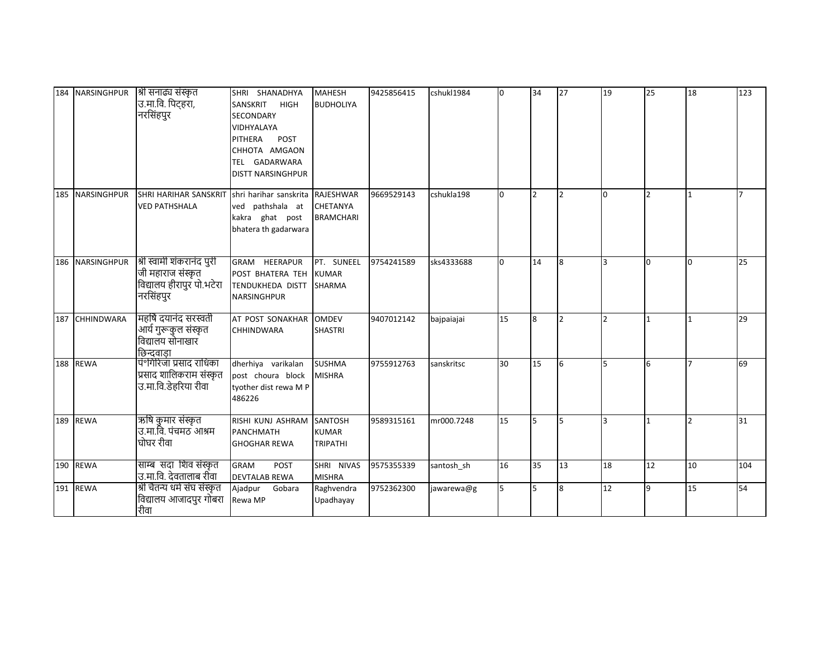|     | 184 NARSINGHPUR    | श्री सनाढ्य संस्कृत<br>उ.मा.वि. पिट्हरा,<br>नरसिंहपुर                                    | SHRI SHANADHYA<br>SANSKRIT<br><b>HIGH</b><br>SECONDARY<br>VIDHYALAYA<br>PITHERA<br>POST<br>CHHOTA AMGAON<br>TEL GADARWARA<br><b>DISTT NARSINGHPUR</b> | <b>MAHESH</b><br><b>BUDHOLIYA</b>                       | 9425856415 | cshukl1984 | n. | 34             | 27             | 19             | 25             | 18           | 123            |
|-----|--------------------|------------------------------------------------------------------------------------------|-------------------------------------------------------------------------------------------------------------------------------------------------------|---------------------------------------------------------|------------|------------|----|----------------|----------------|----------------|----------------|--------------|----------------|
|     | 185 NARSINGHPUR    | <b>SHRI HARIHAR SANSKRIT</b><br><b>VED PATHSHALA</b>                                     | shri harihar sanskrita<br>ved pathshala at<br>kakra ghat post<br>bhatera th gadarwara                                                                 | <b>RAJESHWAR</b><br><b>CHETANYA</b><br><b>BRAMCHARI</b> | 9669529143 | cshukla198 | n. | I <sub>2</sub> | $\mathfrak{p}$ | $\overline{0}$ | $\overline{2}$ | 11           | $\overline{ }$ |
| 186 | <b>NARSINGHPUR</b> | श्री स्वामी शंकरानंद पुरी<br>जी महाराज संस्कृत<br>विद्यालय हीरापुर पो.भटेरा<br>नरसिंहपुर | GRAM HEERAPUR<br>POST BHATERA TEH<br>TENDUKHEDA DISTT<br>NARSINGHPUR                                                                                  | PT. SUNEEL<br><b>KUMAR</b><br><b>SHARMA</b>             | 9754241589 | sks4333688 | n. | 14             | <b>R</b>       | R.             | l0             | <sup>0</sup> | 25             |
| 187 | <b>CHHINDWARA</b>  | महर्षि दयानंद सरस्वती<br>आर्य गुरूकुल संस्कृत<br>विद्यालय सोनाखार<br>छिन्दवाड़ा          | AT POST SONAKHAR<br>CHHINDWARA                                                                                                                        | <b>OMDEV</b><br><b>SHASTRI</b>                          | 9407012142 | bajpaiajai | 15 | 8              |                | $\overline{2}$ | <b>11</b>      |              | 29             |
|     | 188 REWA           | पं°गिरिजा प्रसाद राधिका<br>प्रसाद शालिकराम संस्कृत<br>उ.मा.वि.डेहरिया रीवा               | dherhiya varikalan<br>post choura block<br>tyother dist rewa M P<br>486226                                                                            | <b>SUSHMA</b><br><b>MISHRA</b>                          | 9755912763 | sanskritsc | 30 | 15             | 6              | 5              | 6              |              | 69             |
|     | 189 REWA           | ऋषि कुमार संस्कृत<br>उ.मा.वि. पंचमठ आश्रम<br>घोघर रीवा                                   | RISHI KUNJ ASHRAM<br>PANCHMATH<br><b>GHOGHAR REWA</b>                                                                                                 | SANTOSH<br><b>KUMAR</b><br><b>TRIPATHI</b>              | 9589315161 | mr000.7248 | 15 | 5              |                | 3              |                |              | 31             |
|     | 190 REWA           | साम्ब सदा शिव संस्कृत<br>उ.मा.वि. देवतालाब रीवा                                          | <b>GRAM</b><br>POST<br><b>DEVTALAB REWA</b>                                                                                                           | SHRI NIVAS<br><b>MISHRA</b>                             | 9575355339 | santosh_sh | 16 | 35             | 13             | 18             | 12             | 10           | 104            |
|     | 191 REWA           | श्री चैतन्य धर्म संघ संस्कृत<br>विद्यालय आजादपुर गोबरा<br>रीवा                           | Ajadpur<br>Gobara<br>Rewa MP                                                                                                                          | Raghvendra<br>Upadhayay                                 | 9752362300 | jawarewa@g |    | 5              |                | 12             | 9              | 15           | 54             |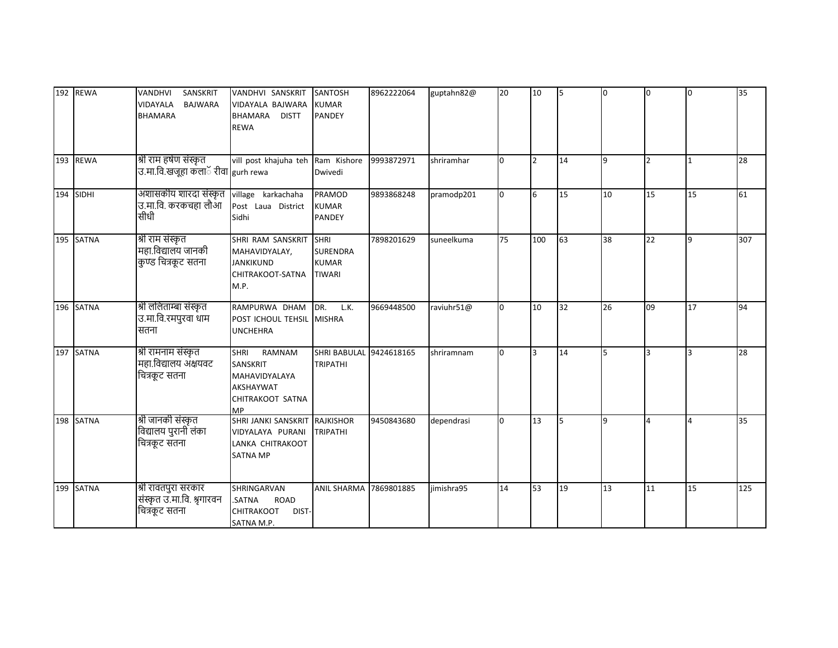|     | 192 REWA    | SANSKRIT<br>VANDHVI<br><b>BAJWARA</b><br><b>VIDAYALA</b><br><b>BHAMARA</b> | VANDHVI SANSKRIT<br>VIDAYALA BAJWARA<br><b>BHAMARA</b><br><b>DISTT</b><br><b>REWA</b>            | <b>SANTOSH</b><br><b>KUMAR</b><br><b>PANDEY</b>  | 8962222064 | guptahn82@ | 20 | 10                       | 5  | lo. | <sup>o</sup>   | l0           | 35  |
|-----|-------------|----------------------------------------------------------------------------|--------------------------------------------------------------------------------------------------|--------------------------------------------------|------------|------------|----|--------------------------|----|-----|----------------|--------------|-----|
| 193 | <b>REWA</b> | श्री राम हर्षण संस्कृत<br>उ.मा.वि.खजूहा कलाॅ रीवा gurh rewa                | vill post khajuha teh Ram Kishore                                                                | Dwivedi                                          | 9993872971 | shriramhar | l0 | $\overline{\phantom{a}}$ | 14 | 9   | $\overline{2}$ | 1            | 28  |
|     | 194 SIDHI   | अशासकीय शारदा संस्कृत<br>उ.मा.वि. करकचहा लौआ<br>सीधी                       | village karkachaha<br>Post Laua District<br>Sidhi                                                | <b>PRAMOD</b><br><b>KUMAR</b><br>PANDEY          | 9893868248 | pramodp201 | n. | 6                        | 15 | 10  | 15             | 15           | 61  |
|     | 195 SATNA   | श्री राम संस्कृत<br>महा.विद्यालय जानकी<br>कुण्ड चित्रकूट सतना              | SHRI RAM SANSKRIT SHRI<br>MAHAVIDYALAY,<br><b>JANKIKUND</b><br>CHITRAKOOT-SATNA<br>M.P.          | <b>SURENDRA</b><br><b>KUMAR</b><br><b>TIWARI</b> | 7898201629 | suneelkuma | 75 | 100                      | 63 | 38  | 22             | $\mathbf{q}$ | 307 |
|     | 196 SATNA   | श्री ललिताम्बा संस्कृत<br>उ.मा.वि.रमपुरवा धाम<br>सतना                      | RAMPURWA DHAM<br>POST ICHOUL TEHSIL MISHRA<br><b>UNCHEHRA</b>                                    | DR.<br>L.K.                                      | 9669448500 | raviuhr51@ |    | 10                       | 32 | 26  | 09             | 17           | 94  |
|     | 197 SATNA   | श्री रामनाम संस्कृत<br>महा.विद्यालय अक्षयवट<br>चित्रकूट सतना               | <b>SHRI</b><br>RAMNAM<br>SANSKRIT<br>MAHAVIDYALAYA<br>AKSHAYWAT<br>CHITRAKOOT SATNA<br><b>MP</b> | SHRI BABULAL 9424618165<br><b>TRIPATHI</b>       |            | shriramnam |    | 3                        | 14 | 5   | 3              |              | 28  |
|     | 198 SATNA   | श्री जानकी संस्कृत<br>विद्यालय पुरानी लंका<br>चित्रकूट सतना                | SHRI JANKI SANSKRIT RAJKISHOR<br>VIDYALAYA PURANI<br>LANKA CHITRAKOOT<br><b>SATNA MP</b>         | <b>TRIPATHI</b>                                  | 9450843680 | dependrasi | n. | 13                       | 5  | 9   | 4              | $\Delta$     | 35  |
|     | 199 SATNA   | श्री रावतपुरा सरकार<br>संस्कृत उ.मा.वि. श्रृगारवन<br>चित्रकूट सतना         | SHRINGARVAN<br>.SATNA<br><b>ROAD</b><br>CHITRAKOOT<br>DIST-<br>SATNA M.P.                        | <b>ANIL SHARMA</b>                               | 7869801885 | jimishra95 | 14 | 53                       | 19 | 13  | 11             | 15           | 125 |